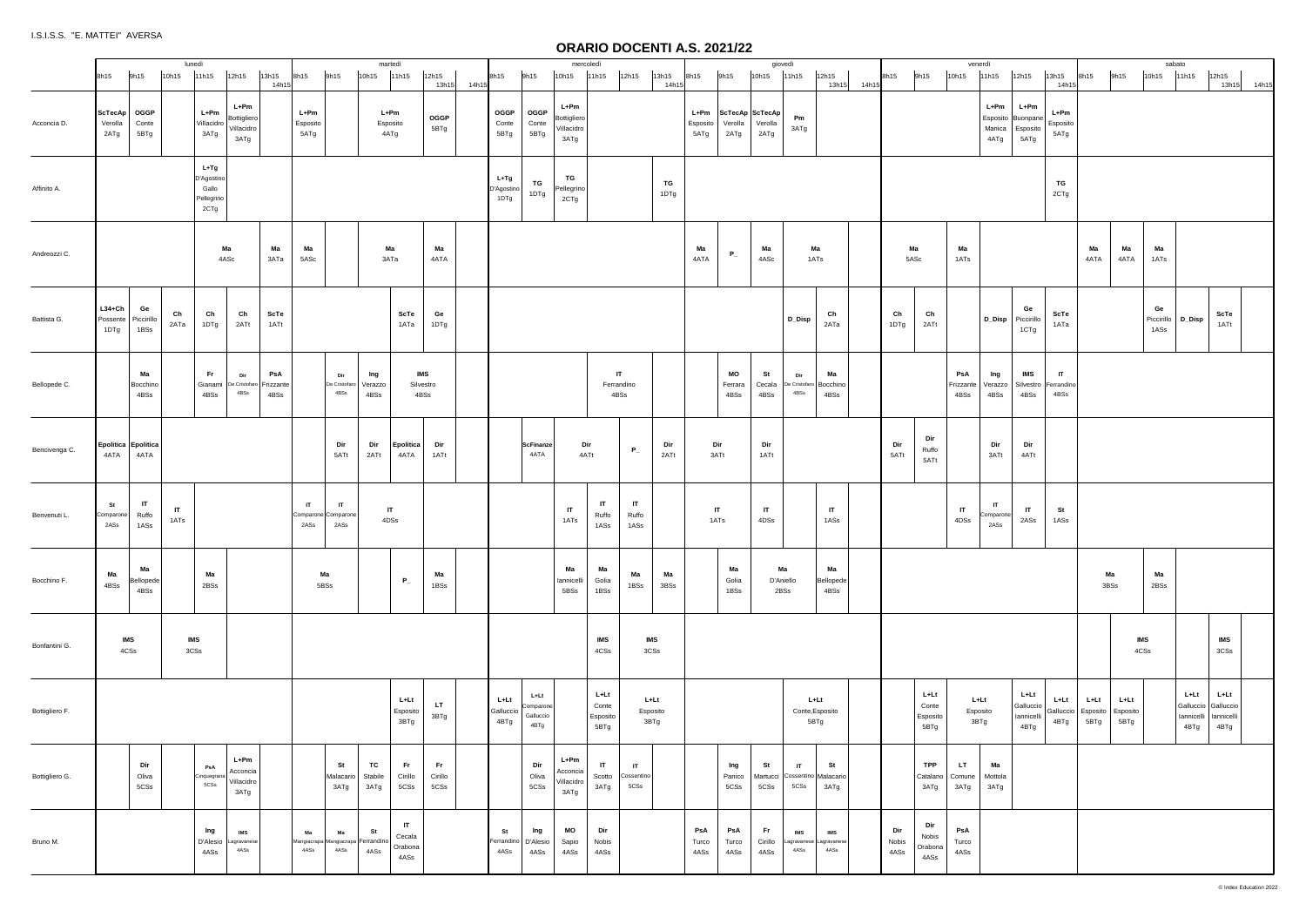|                | 8h15                             | 9h15                        | lunedì<br>10h15                | 11h15                                               | 12h15                                     | 13h15<br>14h15           | 8h15                     | 9h15                                             | martedì<br>10h15               | 11h15                           | 12h15<br>13h15         | 14h15 | 8h15                          | 9h15                                   | 10h15                                     | mercoledì<br>11h15                | 12h15                              | 13h15<br>14h15   | 8h15                 | 9h15                           | giovedì<br>10h15                        | 11h15                   | 12h15                                         | 13h15 14h15 | 8h15                 | 9h15                              | venerdì<br>10h15         | 11h15                              | 12h15                                   | 13h15<br>14h15                     | 8h15                     | 9h15                       | sabato<br>10h15                 | 11h15                                   |
|----------------|----------------------------------|-----------------------------|--------------------------------|-----------------------------------------------------|-------------------------------------------|--------------------------|--------------------------|--------------------------------------------------|--------------------------------|---------------------------------|------------------------|-------|-------------------------------|----------------------------------------|-------------------------------------------|-----------------------------------|------------------------------------|------------------|----------------------|--------------------------------|-----------------------------------------|-------------------------|-----------------------------------------------|-------------|----------------------|-----------------------------------|--------------------------|------------------------------------|-----------------------------------------|------------------------------------|--------------------------|----------------------------|---------------------------------|-----------------------------------------|
| Acconcia D.    | ScTecAp<br>Verolla<br>2ATg       | OGGP<br>Conte<br>5BTg       |                                | $L+Pm$<br>Villacidro<br>3ATg                        | L+Pm<br>Bottigliero<br>Villacidro<br>3ATg |                          | L+Pm<br>Esposito<br>5ATg |                                                  | L+Pm<br>Esposito<br>4ATg       |                                 | $_{\rm OGGP}$<br>5BTg  |       | OGGP<br>Conte<br>5BTg         | OGGP<br>Conte<br>5BTg                  | L+Pm<br>Bottigliero<br>Villacidro<br>3ATg |                                   |                                    |                  | Esposito<br>5ATg     | Verolla<br>2ATg                | L+Pm ScTecAp ScTecAp<br>Verolla<br>2ATg | Pm<br>3ATg              |                                               |             |                      |                                   |                          | L+Pm<br>Esposito<br>Manica<br>4ATg | L+Pm<br>Buonpane<br>Esposito<br>5ATg    | L+Pm<br>Esposito<br>5ATg           |                          |                            |                                 |                                         |
| Affinito A.    |                                  |                             |                                | $L+Tg$<br>D'Agostino<br>Gallo<br>Pellegrino<br>2CTg |                                           |                          |                          |                                                  |                                |                                 |                        |       | L+Tg<br>D'Agostino<br>1DTg    | TG<br>1DTg                             | TG<br>Pellegrino<br>2CTg                  |                                   |                                    | TG<br>1DTg       |                      |                                |                                         |                         |                                               |             |                      |                                   |                          |                                    |                                         | TG<br>2CTg                         |                          |                            |                                 |                                         |
| Andreozzi C.   |                                  |                             |                                | Ma<br>4ASc                                          |                                           | Ma<br>зата               | Ма<br>5ASc               |                                                  | Ma<br>ЗАТа                     |                                 | Ма<br>4ATA             |       |                               |                                        |                                           |                                   |                                    |                  | Ma<br>4ATA           | $P_{-}$                        | Ma<br>4ASc                              |                         | Ma<br>1ATs                                    |             |                      | Ma<br>5ASc                        | Ma<br>1ATs               |                                    |                                         |                                    | Ma<br>4ATA               | Ma<br>4ATA                 | Ma<br>1ATs                      |                                         |
| Battista G.    | $L34 + Ch$<br>Possente  <br>1DTg | Ge<br>Piccirillo<br>1BSs    | Ch<br>2ATa                     | Ch<br>1DTg                                          | Ch<br>2ATt                                | ScTe<br>1ATt             |                          |                                                  |                                | ScTe<br>1ATa                    | Ge<br>1DTg             |       |                               |                                        |                                           |                                   |                                    |                  |                      |                                |                                         | D_Disp                  | Ch<br>2ATa                                    |             | Ch<br>1DTg           | Ch<br>2ATt                        |                          | D_Disp                             | Ge<br>Piccirillo<br>1CTg                | ScTe<br>1ATa                       |                          |                            | Ge<br>Piccirillo D_Disp<br>1ASs |                                         |
| Bellopede C.   |                                  | Ma<br>Bocchino<br>4BSs      |                                | Fr.<br>Gianami<br>4BSs                              | Dir<br>De Cristofan<br>4BSs               | PsA<br>Frizzante<br>4BSs |                          | Dir<br>De Cristofaro<br>4BSs                     | Ing<br>Verazzo<br>4BSs         | IMS<br>Silvestro<br>4BSs        |                        |       |                               |                                        |                                           |                                   | IT.<br>Ferrandino<br>4BSs          |                  |                      | МO<br>Ferrara<br>4BSs          | St<br>Cecala<br>4BSs                    | Dir<br>4BSs             | Ma<br>De Cristofaro Bocchino<br>4BSs          |             |                      |                                   | PsA<br>Frizzante<br>4BSs | Ing<br>√erazzo<br>4BSs             | IMS<br>Silvestro<br>4BSs                | $\mathsf{I}$<br>Ferrandino<br>4BSs |                          |                            |                                 |                                         |
| Bencivenga C.  | 4ATA                             | Epolitica Epolitica<br>4ATA |                                |                                                     |                                           |                          |                          | Dir<br>5ATt                                      | Dir<br>2ATt                    | <b>Epolitica</b><br>4ATA        | Dir<br>1ATt            |       |                               | <b>ScFinanze</b><br>4ATA               |                                           | Dir<br>4ATt                       | $P_{-}$                            | Dir<br>2ATt      |                      | Dir<br>3ATt                    | Dir<br>1ATt                             |                         |                                               |             | Dir<br>5ATt          | Dir<br>Ruffo<br>5ATt              |                          | Dir<br>3ATt                        | Dir<br>4ATt                             |                                    |                          |                            |                                 |                                         |
| Benvenuti L.   | St<br>Comparone<br>2ASs          | IT<br>Ruffo<br>1ASs         | $\mathsf{I}\mathsf{T}$<br>1ATs |                                                     |                                           |                          | $\mathbf{I}$<br>2ASs     | $\mathsf{I}$<br>Comparone Comparone<br>2ASs      | $\mathsf{I}\mathsf{T}$<br>4DSs |                                 |                        |       |                               |                                        | $\mathsf{I}$<br>1ATs                      | IT<br>Ruffo<br>1ASs               | IT<br>Ruffo<br>1ASs                |                  |                      | $\mathsf{I}\mathsf{T}$<br>1ATs | $\mathsf{I}$<br>4DSs                    |                         | $\mathsf{I}$<br>1ASs                          |             |                      |                                   | $\Pi$<br>4DSs            | IT<br>Comparone<br>2ASs            | $\mathsf{I}$<br>2ASs                    | St<br>1ASs                         |                          |                            |                                 |                                         |
| Bocchino F.    | Ma<br>4BSs                       | Ma<br>Bellopede<br>4BSs     |                                | Ma<br>2BSs                                          |                                           |                          | 5BSs                     | Ma                                               |                                | $P_{-}$                         | Ma<br>1BSs             |       |                               |                                        | Ma<br>lannicelli<br>5BSs                  | Ma<br>Golia<br>1BSs               | Ma<br>1BSs                         | Ma<br>3BSs       |                      | Ma<br>Golia<br>1BSs            |                                         | Ma<br>D'Aniello<br>2BSs | Ма<br><b>Bellopede</b><br>4BSs                |             |                      |                                   |                          |                                    |                                         |                                    | Ma<br>3BSs               |                            | Ma<br>2BSs                      |                                         |
| Bonfantini G.  |                                  | <b>IMS</b><br>4CSs          | <b>IMS</b><br>3CSs             |                                                     |                                           |                          |                          |                                                  |                                |                                 |                        |       |                               |                                        |                                           | <b>IMS</b><br>$4\mathtt{CSs}$     | <b>IMS</b><br>3CSs                 |                  |                      |                                |                                         |                         |                                               |             |                      |                                   |                          |                                    |                                         |                                    |                          | <b>IMS</b><br>4CSs         |                                 |                                         |
| Bottigliero F. |                                  |                             |                                |                                                     |                                           |                          |                          |                                                  |                                | L+Lt<br>Esposito<br>3BTg        | LT.<br>3BTg            |       | $L + Lt$<br>Galluccio<br>4BTg | L+Lt<br>Comparone<br>Galluccio<br>4BTg |                                           | L+Lt<br>Conte<br>Esposito<br>5BTg | L+Lt                               | Esposito<br>3BTg |                      |                                |                                         |                         | L+Lt<br>Conte, Esposito<br>5BTg               |             |                      | L+Lt<br>Conte<br>Esposito<br>5BTg | L+Lt<br>Esposito<br>3BTg |                                    | L+Lt<br>Galluccio<br>lannicelli<br>4BTg | L+Lt<br>Galluccio<br>4BTg          | L+Lt<br>Esposito<br>5BTg | $L+Lt$<br>Esposito<br>5BTg |                                 | L+Lt<br>Galluccio<br>lannicelli<br>4BTg |
| Bottigliero G. |                                  | Dir<br>Oliva<br>5CSs        |                                | PsA<br>Cinquegran<br>5CSs                           | $L+Pm$<br>Acconcia<br>Villacidro<br>3ATg  |                          |                          | St<br>Malacario<br>3ATg                          | TC<br>Stabile<br>3ATg          | Fr.<br>Cirillo<br>5CSs          | Fr.<br>Cirillo<br>5CSs |       |                               | Dir<br>Oliva<br>5CSs                   | $L+Pm$<br>Acconcia<br>Villacidro<br>3ATg  | $\mathbf{H}$<br>Scotto<br>3ATg    | $\mathsf{I}$<br>Cossentino<br>5CSs |                  |                      | Ing<br>Panico<br>5CSs          | St<br>Martucci<br>5CSs                  | IT<br>5CSs              | St<br>Cossentino Malacario<br>3ATg            |             |                      | <b>TPP</b><br>Catalano<br>3ATg    | LT.<br>Comune<br>3ATg    | Ma<br>Mottola<br>3ATg              |                                         |                                    |                          |                            |                                 |                                         |
| Bruno M.       |                                  |                             |                                | Ing<br>D'Alesio<br>4ASs                             | <b>IMS</b><br>Lagravanese<br>4ASs         |                          | Ma<br>4ASs               | Ma<br>Mangiacrapa Mangiacrapa Ferrandino<br>4ASs | St<br>4ASs                     | IT<br>Cecala<br>Orabona<br>4ASs |                        |       | St<br>Ferrandino<br>4ASs      | Ing<br>D'Alesio<br>4ASs                | MO<br>Sapio<br>4ASs                       | Dir<br>Nobis<br>4ASs              |                                    |                  | PsA<br>Turco<br>4ASs | PsA<br>Turco<br>4ASs           | Fr.<br>Cirillo<br>4ASs                  | <b>IMS</b><br>4ASs      | <b>IMS</b><br>Lagravanese Lagravanese<br>4ASs |             | Dir<br>Nobis<br>4ASs | Dir<br>Nobis<br>Orabona<br>4ASs   | PsA<br>Turco<br>4ASs     |                                    |                                         |                                    |                          |                            |                                 |                                         |

|                                  |                          | venerdì                              |                                           |                                    |                          |                          | sabato                   |                                           |                                         |       |
|----------------------------------|--------------------------|--------------------------------------|-------------------------------------------|------------------------------------|--------------------------|--------------------------|--------------------------|-------------------------------------------|-----------------------------------------|-------|
| 15                               | 10h15                    | 11h15                                | 12h15                                     | 13h15<br>14h15                     | 8h15                     | 9h15                     | 10h15                    | 11h15                                     | 12h15<br>13h15                          | 14h15 |
|                                  |                          | $L+Pm$<br>Esposito<br>Manica<br>4ATg | $L+Pm$<br>Buonpane<br>Esposito<br>5ATg    | L+Pm<br>Esposito<br>5ATg           |                          |                          |                          |                                           |                                         |       |
|                                  |                          |                                      |                                           | TG<br>2CTg                         |                          |                          |                          |                                           |                                         |       |
|                                  | Ma<br>1ATs               |                                      |                                           |                                    | Ma<br>4ATA               | Ma<br>4ATA               | Ma<br>1ATs               |                                           |                                         |       |
| Ch<br>2ATt                       |                          | D_Disp                               | Ge<br>Piccirillo<br>1CTg                  | ScTe<br>1ATa                       |                          |                          | Ge<br>Piccirillo<br>1ASs | D_Disp                                    | ScTe<br>1ATt                            |       |
|                                  | PsA<br>Frizzante<br>4BSs | Ing<br>Verazzo<br>4BSs               | <b>IMS</b><br>4BSs                        | IT<br>Silvestro Ferrandino<br>4BSs |                          |                          |                          |                                           |                                         |       |
| Dir<br>Ruffo<br>5ATt             |                          | Dir<br>3ATt                          | Dir<br>4ATt                               |                                    |                          |                          |                          |                                           |                                         |       |
|                                  | ΙΤ<br>4DSs               | IT<br>Comparone<br>2ASs              | IT<br>2ASs                                | St<br>1ASs                         |                          |                          |                          |                                           |                                         |       |
|                                  |                          |                                      |                                           |                                    |                          | Ma<br>3BSs               | Ma<br>2BSs               |                                           |                                         |       |
|                                  |                          |                                      |                                           |                                    |                          |                          | <b>IMS</b><br>4CSs       |                                           | <b>IMS</b><br>3CSs                      |       |
| L+Lt<br>Conte<br>sposito<br>5BTg |                          | L+Lt<br>Esposito<br>3BTg             | $L+Lt$<br>Galluccio<br>lannicelli<br>4BTg | L+Lt<br>Galluccio<br>4BTg          | L+Lt<br>Esposito<br>5BTg | L+Lt<br>Esposito<br>5BTg |                          | $L+Lt$<br>Galluccio<br>lannicelli<br>4BTg | L+Lt<br>Galluccio<br>lannicelli<br>4BTg |       |
| TPP<br>atalano<br>3ATg           | LT.<br>Comune<br>3ATg    | Ma<br>Mottola<br>3ATg                |                                           |                                    |                          |                          |                          |                                           |                                         |       |
| Dir<br>Nobis<br>rabona<br>4ASs   | PsA<br>Turco<br>4ASs     |                                      |                                           |                                    |                          |                          |                          |                                           |                                         |       |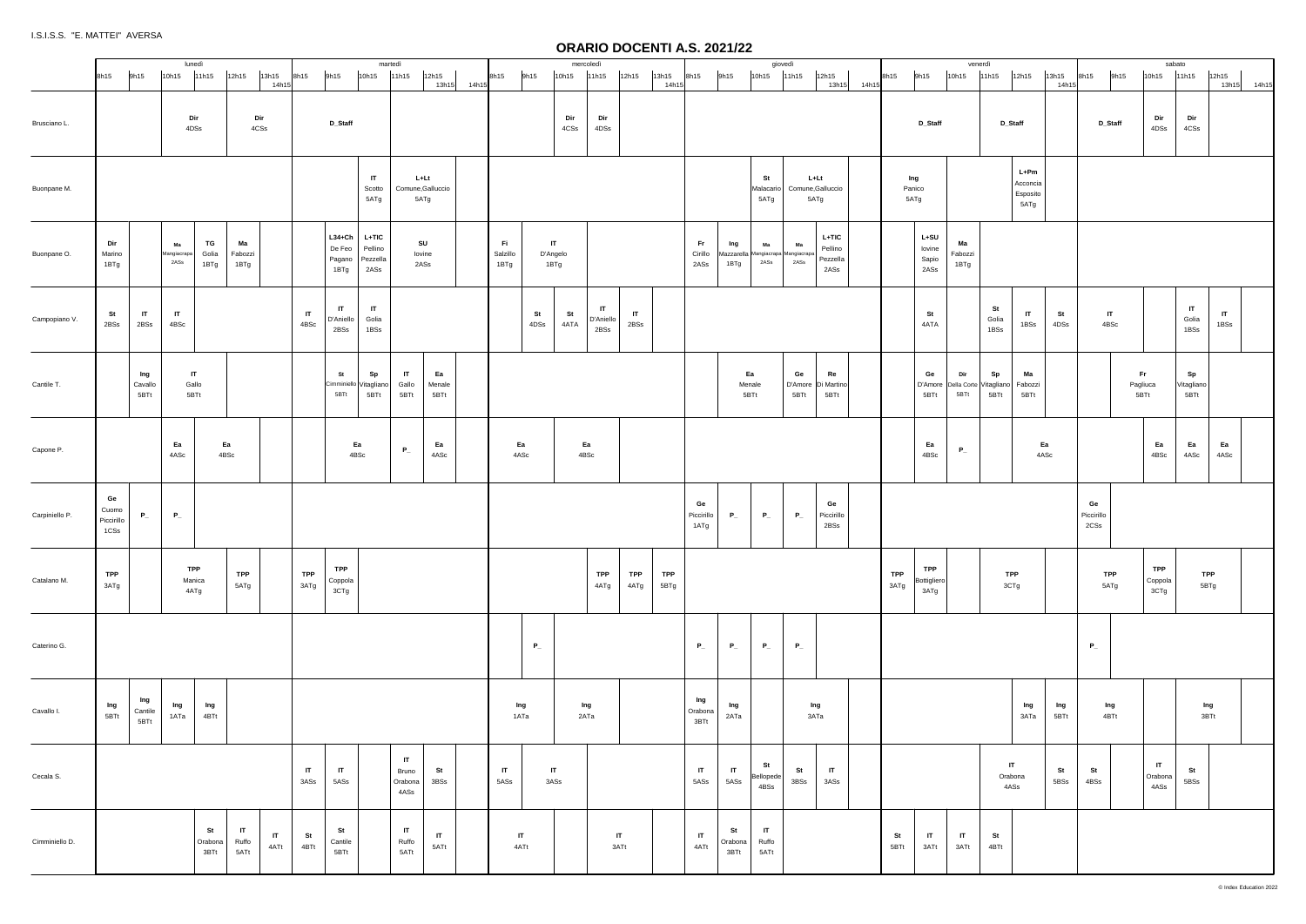|                |                                   |                        |                           | lunedì                        |                                         |                      |                      |                                        |                                        | martedì                           |                      |             |                          |                          | mercoledì               |                      |                    |                          |                                                  | giovedì                       |                                   |                                        |                    |                                   | venerdì                               |                     |                                      |                |                          | sabato                          |                               |                         |
|----------------|-----------------------------------|------------------------|---------------------------|-------------------------------|-----------------------------------------|----------------------|----------------------|----------------------------------------|----------------------------------------|-----------------------------------|----------------------|-------------|--------------------------|--------------------------|-------------------------|----------------------|--------------------|--------------------------|--------------------------------------------------|-------------------------------|-----------------------------------|----------------------------------------|--------------------|-----------------------------------|---------------------------------------|---------------------|--------------------------------------|----------------|--------------------------|---------------------------------|-------------------------------|-------------------------|
|                | 8h15                              | 9h15                   | 10h15                     | 11h15                         | 12h15<br>13h15                          | 14h15                | 8h15                 | 9h15                                   | 10h15                                  | 11h15                             | 12h15                | 13h15 14h15 | 9h15<br>8h15             | 10h15                    | 11h15                   | 12h15                | 13h15<br>14h1      | 8h15                     | 9h15                                             | 10h15 11h15                   |                                   | 12h15<br>13h15<br>14h15                | 8h15               | 9h15                              | 10h15                                 | 11h15               | 12h15                                | 13h15<br>14h15 | 9h15<br>8h15             | 10h15                           | 11h15                         | 12h15<br>13h15<br>14h15 |
| Brusciano L.   |                                   |                        |                           | Dir<br>4DSs                   | Dir<br>$4\mathtt{CSs}$                  |                      |                      | D_Staff                                |                                        |                                   |                      |             |                          | Dir<br>4CSs              | Dir<br>4DSs             |                      |                    |                          |                                                  |                               |                                   |                                        |                    | D_Staff                           |                                       | D_Staff             |                                      |                | D_Staff                  | Dir<br>4DSs                     | Dir<br>4CSs                   |                         |
| Buonpane M.    |                                   |                        |                           |                               |                                         |                      |                      |                                        | $\mathsf{I}$<br>Scotto<br>5ATg         | L+Lt<br>Comune, Galluccio<br>5ATg |                      |             |                          |                          |                         |                      |                    |                          |                                                  | St<br>Malacario<br>5ATg       | L+Lt<br>Comune, Galluccio<br>5ATg |                                        |                    | Ing<br>Panico<br>5ATg             |                                       |                     | L+Pm<br>Acconcia<br>Esposito<br>5ATg |                |                          |                                 |                               |                         |
| Buonpane O.    | Dir<br>Marino<br>1BTg             |                        | Ma<br>Mangiacrapa<br>2ASs | TG<br>Golia<br>1BTg           | Ma<br>Fabozzi<br>1BTg                   |                      |                      | $L34 + Ch$<br>De Feo<br>Pagano<br>1BTg | $L+TIC$<br>Pellino<br>Pezzella<br>2ASs | SU<br>lovine<br>2ASs              |                      |             | Fi .<br>Salzillo<br>1BTg | IT.<br>D'Angelo<br>1BTg  |                         |                      |                    | Fr.<br>Cirillo<br>2ASs   | Ing<br>Mazzarella Mangiacrapa Mangiacrap<br>1BTg | Ma<br>2ASs                    | Ma<br>2ASs                        | $L+TIC$<br>Pellino<br>Pezzella<br>2ASs |                    | $L+SU$<br>lovine<br>Sapio<br>2ASs | Ma<br>Fabozzi<br>1BTg                 |                     |                                      |                |                          |                                 |                               |                         |
| Campopiano V.  | St<br>2BSs                        | $\mathsf{I}$<br>2BSs   | $\mathsf{I}$<br>4BSc      |                               |                                         |                      | $\mathsf{I}$<br>4BSc | $\mathbf{I}$<br>D'Aniello<br>2BSs      | $\mathsf{I}$<br>Golia<br>1BSs          |                                   |                      |             |                          | St<br>St<br>4DSs<br>4ATA | IT<br>D'Aniello<br>2BSs | $\mathsf{I}$<br>2BSs |                    |                          |                                                  |                               |                                   |                                        |                    | St<br>4ATA                        |                                       | St<br>Golia<br>1BSs | $\mathsf{I}$<br>1BSs                 | St<br>4DSs     | IT<br>4BSc               |                                 | $\mathsf{I}$<br>Golia<br>1BSs | $\mathsf{I}$<br>1BSs    |
| Cantile T.     |                                   | Ing<br>Cavallo<br>5BTt |                           | $\mathsf{I}$<br>Gallo<br>5BTt |                                         |                      |                      | St<br>Cimminiello<br>5BTt              | Sp<br>Vitagliano<br>5BTt               | $\mathsf{I}$<br>Gallo<br>5BTt     | Ea<br>Menale<br>5BTt |             |                          |                          |                         |                      |                    |                          | Ea<br>Menale<br>5BTt                             |                               | Ge<br>D'Amore<br>5BTt             | Re<br>Di Martino<br>5BTt               |                    | Ge<br>D'Amore<br>5BTt             | Dir<br>Della Corte Vitagliano<br>5BTt | Sp<br>5BTt          | Ma<br>Fabozzi<br>5BTt                |                |                          | Fr<br>Pagliuca<br>5BTt          | Sp<br>Vitagliano<br>5BTt      |                         |
| Capone P.      |                                   |                        | Ea<br>4ASc                |                               | Ea<br>4BSc                              |                      |                      |                                        | Ea<br>4BSc                             | $P_{-}$                           | Ea<br>4ASc           |             | Ea<br>4ASc               |                          | Ea<br>4BSc              |                      |                    |                          |                                                  |                               |                                   |                                        |                    | Ea<br>4BSc                        | $P_{-}$                               |                     | Ea<br>4ASc                           |                |                          | Ea<br>4BSc                      | Ea<br>4ASc                    | Ea<br>4ASc              |
| Carpiniello P. | Ge<br>Cuomo<br>Piccirillo<br>1CSs | $P_{-}$                | $P_{-}$                   |                               |                                         |                      |                      |                                        |                                        |                                   |                      |             |                          |                          |                         |                      |                    | Ge<br>Piccirillo<br>1ATg | $P_{-}$                                          | $P_{-}$                       | $P_{-}$                           | Ge<br>Piccirillo<br>2BSs               |                    |                                   |                                       |                     |                                      |                | Ge<br>Piccirillo<br>2CSs |                                 |                               |                         |
| Catalano M.    | <b>TPP</b><br>3ATg                |                        |                           | TPP<br>Manica<br>4ATg         | <b>TPP</b><br>5ATg                      |                      | <b>TPP</b><br>3ATg   | <b>TPP</b><br>Coppola<br>3CTg          |                                        |                                   |                      |             |                          |                          | <b>TPP</b><br>4ATg      | <b>TPP</b><br>4ATg   | <b>TPP</b><br>5BTg |                          |                                                  |                               |                                   |                                        | <b>TPP</b><br>3ATg | <b>TPP</b><br>Bottigliero<br>3ATg |                                       | <b>TPP</b>          | 3CTg                                 |                | <b>TPP</b><br>5ATg       | TPP<br>Coppola<br>3CTg          | <b>TPP</b><br>5BTg            |                         |
| Caterino G.    |                                   |                        |                           |                               |                                         |                      |                      |                                        |                                        |                                   |                      |             |                          | $P_{-}$                  |                         |                      |                    | $P_{-}$                  | $P_{-}$                                          | $P_{-}$                       | $P_{-}$                           |                                        |                    |                                   |                                       |                     |                                      |                | $P_{-}$                  |                                 |                               |                         |
| Cavallo I.     | Ing<br>5BTt                       | Ing<br>Cantile<br>5BTt | Ing<br>1ATa               | Ing<br>4BTt                   |                                         |                      |                      |                                        |                                        |                                   |                      |             | Ing<br>1ATa              |                          | Ing<br>2ATa             |                      |                    | Ing<br>Orabona<br>3BTt   | Ing<br>2ATa                                      |                               | Ing<br>3ATa                       |                                        |                    |                                   |                                       |                     | Ing<br>3ATa                          | Ing<br>5BTt    | Ing<br>4BTt              |                                 | Ing<br>3BTt                   |                         |
| Cecala S.      |                                   |                        |                           |                               |                                         |                      | $\mathsf{I}$<br>3ASs | $\mathbf{I}$<br>5ASs                   |                                        | IT<br>Bruno<br>Orabona<br>4ASs    | St<br>3BSs           |             | $\mathsf{I}$<br>5ASs     | IT.<br>3ASs              |                         |                      |                    | $\mathsf{I}$<br>5ASs     | $\mathsf{I}$<br>5ASs                             | St<br>Bellopede<br>4BSs       | St<br>3BSs                        | $\mathsf{I}$<br>3ASs                   |                    |                                   |                                       | Orabona<br>4ASs     | $\mathsf{I}$                         | St<br>5BSs     | St<br>4BSs               | $\mathsf{I}$<br>Orabona<br>4ASs | St<br>5BSs                    |                         |
| Cimminiello D. |                                   |                        |                           | St<br>Orabona<br>3BTt         | $\mathsf{I}\mathsf{T}$<br>Ruffo<br>5ATt | $\mathsf{I}$<br>4ATt | St<br>4BTt           | St<br>Cantile<br>5BTt                  |                                        | $\mathsf{I}$<br>Ruffo<br>5ATt     | $\mathsf{I}$<br>5ATt |             | $\mathsf{I}$<br>4ATt     |                          |                         | $\mathsf{I}$<br>3ATt |                    | $\mathsf{I}$<br>4ATt     | St<br>Orabona<br>3BTt                            | $\mathsf{I}$<br>Ruffo<br>5ATt |                                   |                                        | St<br>5BTt         | $\mathsf{I}$<br>3ATt              | $\mathbf{H}$<br>3ATt                  | St<br>4BTt          |                                      |                |                          |                                 |                               |                         |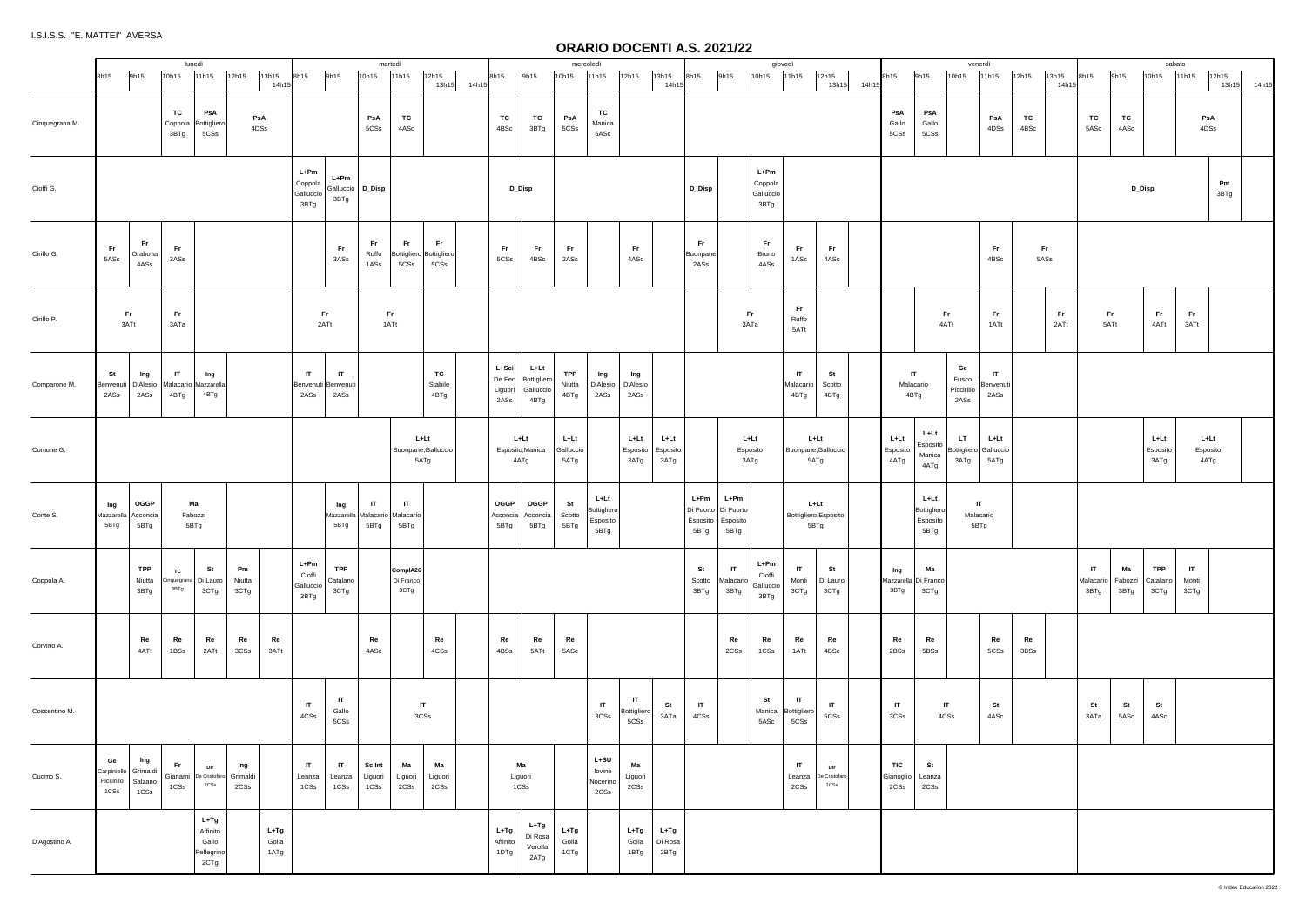|                |                                    |                                   | lunedì                                       |                                                   |                      |                         |                                      |                                   | martedì                                                |                                        |                       |                                    |                                          | mercoledì                                          |                                         |                                     |                           |                                         |                                       | giovedì                                |                                       |                                         |                                 |                                         | venerdì                              |                                   |            |                   |                                                     |            | sabato                   |                               |                |
|----------------|------------------------------------|-----------------------------------|----------------------------------------------|---------------------------------------------------|----------------------|-------------------------|--------------------------------------|-----------------------------------|--------------------------------------------------------|----------------------------------------|-----------------------|------------------------------------|------------------------------------------|----------------------------------------------------|-----------------------------------------|-------------------------------------|---------------------------|-----------------------------------------|---------------------------------------|----------------------------------------|---------------------------------------|-----------------------------------------|---------------------------------|-----------------------------------------|--------------------------------------|-----------------------------------|------------|-------------------|-----------------------------------------------------|------------|--------------------------|-------------------------------|----------------|
|                | 8h15                               | 9h15                              | 10h15                                        | 11h15                                             | 12h15                | 13h15                   | 8h15                                 | 9h15                              | 10h15                                                  | 11h15                                  | 12h15                 | 8h15                               | 9h15                                     | 10h15                                              | 11h15                                   | 12h15                               | 13h15                     | 8h15                                    | 9h15                                  | 10h15                                  | 11h15                                 | 12h15                                   | 8h15                            | 9h15                                    | 10h15                                | 11h15                             | 12h15      | 13h15             | 8h15                                                | 9h15       | 10h15                    | 11h15                         | 12h15          |
| Cinquegrana M. |                                    |                                   | TC<br>Coppola<br>3BTg                        | PsA<br>Bottiglierd<br>5CSs                        | PsA<br>4DSs          | 14h15                   |                                      |                                   | PsA<br>5CSs                                            | TC<br>4ASc                             | 13h15 14h15           | TC<br>4BSc                         | TC<br>3BTg                               | PsA<br>5CSs                                        | TC<br>Manica<br>5ASc                    |                                     | 14h15                     |                                         |                                       |                                        |                                       | 13h15 14h15                             | PsA<br>Gallo<br>5CSs            | PsA<br>Gallo<br>5CSs                    |                                      | PsA<br>4DSs                       | TC<br>4BSc | 14h1              | TC<br>5ASc                                          | TC<br>4ASc |                          | PsA<br>4DSs                   | 13h15<br>14h15 |
| Cioffi G.      |                                    |                                   |                                              |                                                   |                      |                         | L+Pm<br>Coppola<br>Galluccio<br>3BTg | L+Pm<br>Galluccio D_Disp<br>3BTg  |                                                        |                                        |                       | D_Disp                             |                                          |                                                    |                                         |                                     |                           | D_Disp                                  |                                       | $L+Pm$<br>Coppola<br>Galluccio<br>3BTg |                                       |                                         |                                 |                                         |                                      |                                   |            |                   |                                                     | D_Disp     |                          |                               | Pm<br>3BTg     |
| Cirillo G.     | Fr<br>5ASs                         | Fr.<br>Orabona<br>4ASs            | Fr.<br>$3ASs$                                |                                                   |                      |                         |                                      | <b>Fr</b><br>3ASs                 | Fr.<br>Ruffo<br>1ASs                                   | Fr.<br>Bottigliero Bottigliero<br>5CSs | Fr.<br>5CSs           | Fr.<br>5CSs                        | Fr.<br>4BSc                              | Fr.<br>2ASs                                        |                                         | Fr.<br>4ASc                         |                           | Fr.<br>Buonpane<br>2ASs                 |                                       | Fr.<br>Bruno<br>4ASs                   | <b>Fr</b><br>1ASs                     | <b>Fr</b><br>4ASc                       |                                 |                                         |                                      | Fr.<br>4BSc                       | 5ASs       | Fr.               |                                                     |            |                          |                               |                |
| Cirillo P.     | Fr.<br>3ATt                        |                                   | Fr.<br>зата                                  |                                                   |                      |                         | Fr.<br>2ATt                          |                                   | Fr.<br>1ATt                                            |                                        |                       |                                    |                                          |                                                    |                                         |                                     |                           |                                         | Fr.<br>ЗАТа                           |                                        | Fr.<br>Ruffo<br>5ATt                  |                                         |                                 |                                         | Fr.<br>4ATt                          | Fr.<br>1ATt                       |            | <b>Fr</b><br>2ATt | Fr<br>5ATt                                          |            | Fr.<br>4ATt              | Fr.<br>3ATt                   |                |
| Comparone M.   | St<br>Benvenuti D'Alesio<br>2ASs   | Ing<br>2ASs                       | $\mathsf{I}$<br>Malacario Mazzarella<br>4BTg | Ing<br>4BTg                                       |                      |                         | $\mathsf{I}$<br>Benvenuti  <br>2ASs  | $\mathbf{H}$<br>Benvenuti<br>2ASs |                                                        |                                        | TC<br>Stabile<br>4BTg | L+Sci<br>De Feo<br>Liguori<br>2ASs | L+Lt<br>Bottigliero<br>Galluccio<br>4BTg | <b>TPP</b><br>Niutta   D'Alesio   D'Alesio<br>4BTg | Ing<br>2ASs                             | Ing<br>2ASs                         |                           |                                         |                                       |                                        | $\mathsf{I}$<br>Malacario<br>4BTg     | St<br>Scotto<br>4BTg                    |                                 | $\mathsf{I}$<br>Malacario<br>4BTg       | Ge<br>Fusco<br>Piccirillo<br>2ASs    | $\mathsf{I}$<br>Benvenuti<br>2ASs |            |                   |                                                     |            |                          |                               |                |
| Comune G.      |                                    |                                   |                                              |                                                   |                      |                         |                                      |                                   |                                                        | L+Lt<br>Buonpane, Galluccio<br>5ATg    |                       |                                    | L+Lt<br>Esposito, Manica<br>4ATg         | L+Lt<br>Galluccio<br>5ATg                          |                                         | L+Lt<br>Esposito<br>3ATg            | L+Lt<br>Esposito<br>3ATg  |                                         | L+Lt<br>Esposito<br>3ATg              |                                        | L+Lt<br>Buonpane, Galluccio<br>5ATg   |                                         | L+Lt<br>Esposito<br>4ATg        | L+Lt<br>Esposito<br>Manica<br>4ATg      | LT.<br>Bottigliero Galluccio<br>3ATg | L+Lt<br>5ATg                      |            |                   |                                                     |            | L+Lt<br>Esposito<br>3ATg | L+Lt<br>Esposito<br>4ATg      |                |
| Conte S.       | Ing<br>Mazzarella Acconcia<br>5BTg | OGGP<br>5BTg                      | Ma<br>Fabozzi                                | 5BTg                                              |                      |                         |                                      | Ing<br>5BTg                       | $\mathsf{I}$<br>Mazzarella Malacario Malacario<br>5BTg | $\mathbf{H}$<br>5BTg                   |                       | OGGP<br>Acconcia<br>5BTg           | OGGP<br>Acconcia  <br>5BTg               | St<br>Scotto<br>5BTg                               | L+Lt<br>Bottigliero<br>Esposito<br>5BTg |                                     |                           | $L+Pm$<br>Di Puorto<br>Esposito<br>5BTg | L+Pm<br>Di Puorto<br>Esposito<br>5BTg |                                        | L+Lt<br>Bottigliero, Esposito<br>5BTg |                                         |                                 | L+Lt<br>Bottigliero<br>Esposito<br>5BTg | $\mathbf{H}$<br>Malacario<br>5BTg    |                                   |            |                   |                                                     |            |                          |                               |                |
| Coppola A.     |                                    | TPP<br>Niutta<br>3BTg             | <b>TC</b><br>Cinquegrana Di Lauro<br>3BTg    | St<br>3CTg                                        | Pm<br>Niutta<br>3CTg |                         | L+Pm<br>Cioffi<br>Galluccio<br>3BTg  | TPP<br>Catalano<br>3CTg           |                                                        | ComplA26<br>Di Franco<br>3CTg          |                       |                                    |                                          |                                                    |                                         |                                     |                           | St<br>Scotto<br>3BTg                    | IT<br>Malacario<br>3BTg               | L+Pm<br>Cioffi<br>Galluccio<br>3BTg    | IT.<br>Monti<br>3CTg                  | St<br>Di Lauro<br>3CTg                  | Ing<br>Mazzarella<br>3BTg       | Ma<br>Di Franco<br>3CTg                 |                                      |                                   |            |                   | $\mathsf{I}\mathsf{T}$<br>Malacario Fabozzi<br>3BTg | Ma<br>3BTg | TPP<br>Catalano<br>3CTg  | $\mathsf{I}$<br>Monti<br>3CTg |                |
| Corvino A.     |                                    | Re<br>4ATt                        | Re<br>1BSs                                   | Re<br>2ATt                                        | Re<br>3CSs           | Re<br>3ATt              |                                      |                                   | Re<br>4ASc                                             |                                        | Re<br>4CSs            | Re<br>4BSs                         | Re<br>5ATt                               | Re<br>5ASc                                         |                                         |                                     |                           |                                         | Re<br>2CSs                            | Re<br>1CSs                             | Re<br>1ATt                            | Re<br>4BSc                              | Re<br>2BSs                      | Re<br>5BSs                              |                                      | Re<br>5CSs                        | Re<br>3BSs |                   |                                                     |            |                          |                               |                |
| Cossentino M.  |                                    |                                   |                                              |                                                   |                      |                         | IT<br>4CSs                           | IT<br>Gallo<br>5CSs               |                                                        | $\mathsf{I}$<br>3CSs                   |                       |                                    |                                          |                                                    | $\mathsf{I}$<br>$3C\mathrm{Ss}$         | $\mathsf{I}$<br>Bottigliero<br>5CSs | St<br>ЗАТа                | IT<br>4CSs                              |                                       | St<br>Manica<br>5ASc                   | IT.<br>Bottigliero<br>5CSs            | IT<br>5CSs                              | IT<br>3CSs                      |                                         | IT<br>4CSs                           | St<br>4ASc                        |            |                   | St<br>ЗАТа                                          | St<br>5ASc | St<br>4ASc               |                               |                |
| Cuomo S.       | Ge<br>Carpiniello Grimaldi<br>1CSs | Ing<br>Piccirillo Salzano<br>1CSs | Fr.<br>1CSs                                  | Dir<br>Gianami De Cristofaro Grimaldi<br>2CSs     | Ing<br>2CSs          |                         | IT<br>Leanza<br>1CSs                 | IT<br>Leanza<br>1CSs              | Sc Int<br>Liguori<br>1CSs                              | Ma<br>Liguori<br>2CSs                  | Ma<br>Liguori<br>2CSs |                                    | Ма<br>Liguori<br>1CSs                    |                                                    | $L+SU$<br>lovine<br>Nocerino<br>2CSs    | Ma<br>Liguori<br>2CSs               |                           |                                         |                                       |                                        | IT<br>Leanza<br>2CSs                  | Dir<br>De Cristofaro<br>$1\mathrm{CSs}$ | <b>TIC</b><br>Gianoglio<br>2CSs | St<br>Leanza<br>2CSs                    |                                      |                                   |            |                   |                                                     |            |                          |                               |                |
| D'Agostino A.  |                                    |                                   |                                              | $L+Tg$<br>Affinito<br>Gallo<br>Pellegrino<br>2CTg |                      | $L+Tg$<br>Golia<br>1ATg |                                      |                                   |                                                        |                                        |                       | $L+Tg$<br>Affinito<br>1DTg         | L+Tg<br>Di Rosa<br>Verolla<br>2ATg       | $L+Tg$<br>Golia<br>1CTg                            |                                         | $L+Tg$<br>Golia<br>1BTg             | $L+Tg$<br>Di Rosa<br>2BTg |                                         |                                       |                                        |                                       |                                         |                                 |                                         |                                      |                                   |            |                   |                                                     |            |                          |                               |                |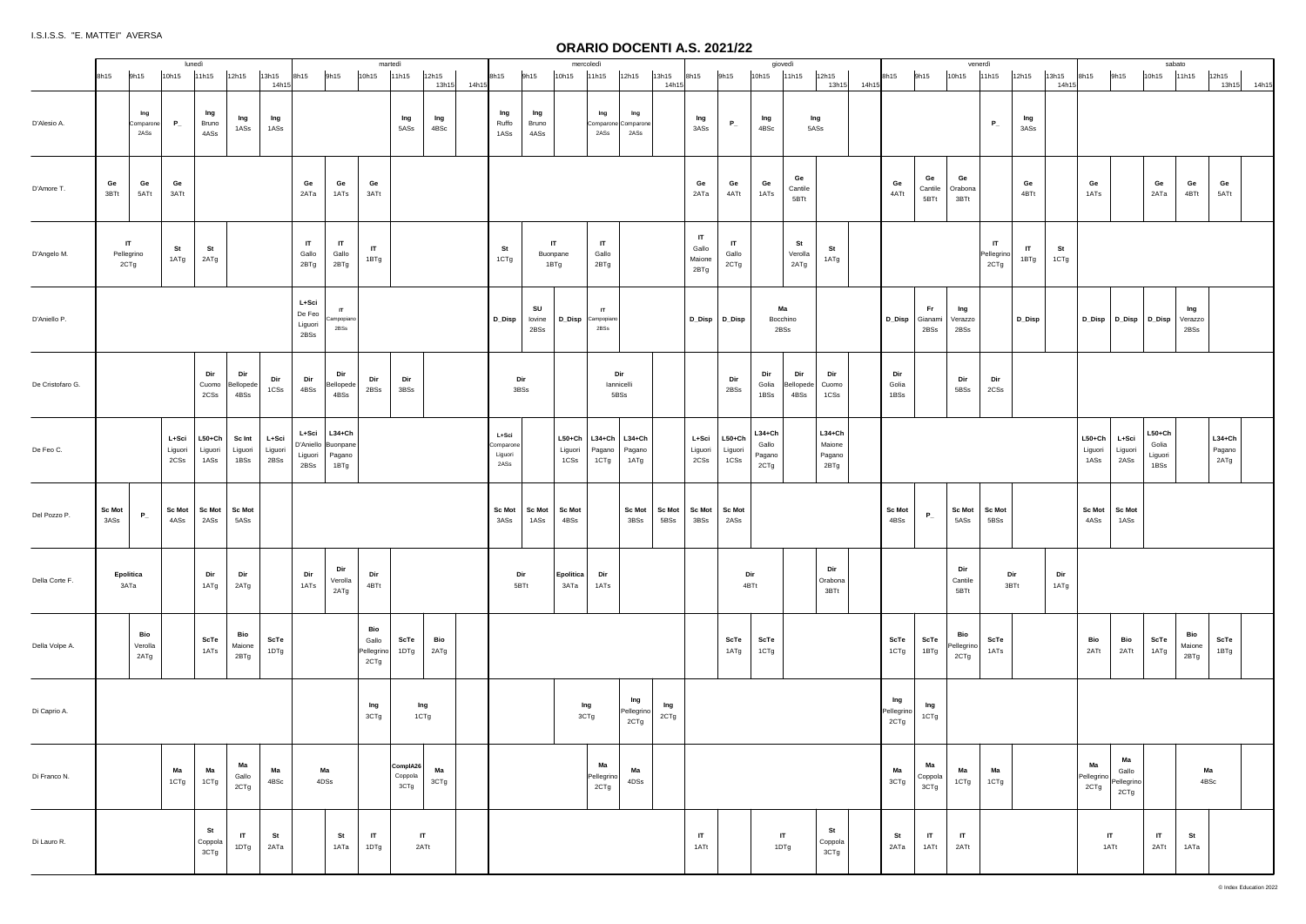|                  |                                         |                          | lunedì                           |                           |                          |                                    |                                                  | martedì                            |                                |                |       |                                       |                        | mercoledì                   |                                                  |                                    |                |                               |                             |                                       | giovedì                  |                                        |       |                           |                        |                           | venerdì                  |                      |               |                             |                                   | sabato                               |                                |                            |       |
|------------------|-----------------------------------------|--------------------------|----------------------------------|---------------------------|--------------------------|------------------------------------|--------------------------------------------------|------------------------------------|--------------------------------|----------------|-------|---------------------------------------|------------------------|-----------------------------|--------------------------------------------------|------------------------------------|----------------|-------------------------------|-----------------------------|---------------------------------------|--------------------------|----------------------------------------|-------|---------------------------|------------------------|---------------------------|--------------------------|----------------------|---------------|-----------------------------|-----------------------------------|--------------------------------------|--------------------------------|----------------------------|-------|
|                  | 9h15<br>8h15                            | 10h15                    | 11h15                            | 12h15                     | 13h15<br>14h15           | 8h15                               | 9h15                                             | 10h15                              | 11h15                          | 12h15<br>13h15 | 14h15 | 8h15                                  | 9h15                   | 10h15                       | 11h15                                            | 12h15                              | 13h15<br>14h1  | 8h15                          | 9h15                        | 10h15 11h15                           |                          | 12h15<br>13h15                         | 14h15 | 8h15                      | 9h15                   | 10h15                     | 11h15                    | 12h15                | 13h15<br>14h1 | 8h15                        | 9h15                              | 10h15                                | 11h15                          | 12h15<br>13h15             | 14h15 |
| D'Alesio A.      | Ing<br>Comparone<br>2ASs                | $P_{-}$                  | Ing<br>Bruno<br>4ASs             | Ing<br>1ASs               | Ing<br>1ASs              |                                    |                                                  |                                    | Ing<br>5ASs                    | Ing<br>4BSc    |       | Ing<br>Ruffo<br>1ASs                  | Ing<br>Bruno<br>4ASs   |                             | Ing<br>2ASs                                      | Ing<br>Comparone Comparone<br>2ASs |                | Ing<br>3ASs                   | $P_{-}$                     | Ing<br>4BSc                           |                          | Ing<br>5ASs                            |       |                           |                        |                           | $P_{-}$                  | Ing<br>3ASs          |               |                             |                                   |                                      |                                |                            |       |
| D'Amore T.       | Ge<br>Ge<br>3BTt<br>5ATt                | Ge<br>3ATt               |                                  |                           |                          | Ge<br>2ATa                         | Ge<br>1ATs                                       | Ge<br>3ATt                         |                                |                |       |                                       |                        |                             |                                                  |                                    |                | Ge<br>2ATa                    | Ge<br>4ATt                  | Ge<br>1ATs                            | Ge<br>Cantile<br>5BTt    |                                        |       | Ge<br>4ATt                | Ge<br>Cantile<br>5BTt  | Ge<br>Orabona<br>3BTt     |                          | Ge<br>4BTt           |               | Ge<br>1ATs                  |                                   | Ge<br>2ATa                           | Ge<br>4BTt                     | Ge<br>5ATt                 |       |
| D'Angelo M.      | $\mathbf{H}$<br>Pellegrino<br>2CTg      | St<br>1ATg               | St<br>2ATg                       |                           |                          | IT<br>Gallo<br>2BTg                | $\mathsf{I}$<br>Gallo<br>2BTg                    | $\mathsf{I}$<br>1BTg               |                                |                |       | <b>St</b><br>1CTg                     | IT<br>Buonpane<br>1BTg |                             | $\mathsf{I}$<br>Gallo<br>2BTg                    |                                    |                | IT<br>Gallo<br>Maione<br>2BTg | IT<br>Gallo<br>2CTg         |                                       | St<br>Verolla<br>2ATg    | St<br>1ATg                             |       |                           |                        |                           | IT<br>Pellegrino<br>2CTg | $\mathbf{I}$<br>1BTg | St<br>1CTg    |                             |                                   |                                      |                                |                            |       |
| D'Aniello P.     |                                         |                          |                                  |                           |                          | L+Sci<br>De Feo<br>Liguori<br>2BSs | $\mathsf{I}$<br>Campopiano<br>2BSs               |                                    |                                |                |       | D_Disp                                | SU<br>lovine<br>2BSs   |                             | $\mathsf{I}$<br>D_Disp Campopiano<br>2BSs        |                                    |                | D_Disp                        | D_Disp                      |                                       | Ma<br>Bocchino<br>2BSs   |                                        |       | D_Disp                    | Fr.<br>Gianami<br>2BSs | Ing<br>Verazzo<br>2BSs    |                          | D_Disp               |               | D_Disp   D_Disp   D_Disp    |                                   |                                      | Ing<br>Verazzo<br>2BSs         |                            |       |
| De Cristofaro G. |                                         |                          | Dir<br>Cuomo<br>2CSs             | Dir<br>Bellopede<br>4BSs  | Dir<br>1CSs              | Dir<br>4BSs                        | Dir<br>Bellopede<br>4BSs                         | Dir<br>2BSs                        | Dir<br>3BSs                    |                |       | Dir<br>3BSs                           |                        |                             | Dir<br>lannicelli                                | 5BSs                               |                |                               | Dir<br>2BSs                 | Dir<br>Golia<br>1BSs                  | Dir<br>Bellopede<br>4BSs | Dir<br>Cuomo<br>1CSs                   |       | Dir<br>Golia<br>1BSs      |                        | Dir<br>5BSs               | Dir<br>2CSs              |                      |               |                             |                                   |                                      |                                |                            |       |
| De Feo C.        |                                         | L+Sci<br>Liguori<br>2CSs | $L50+Ch$<br>Liguori<br>1ASs      | Sc Int<br>Liguori<br>1BSs | L+Sci<br>Liguori<br>2BSs | L+Sci<br>Liguori<br>2BSs           | $L34+Ch$<br>D'Aniello Buonpane<br>Pagano<br>1BTg |                                    |                                |                |       | L+Sci<br>Comparone<br>Liguori<br>2ASs |                        | $L50+Ch$<br>Liguori<br>1CSs | $ $ L34+Ch $ $ L34+Ch<br>Pagano   Pagano<br>1CTg | 1ATg                               |                | L+Sci<br>Liguori<br>2CSs      | $L50+Ch$<br>Liguori<br>1CSs | $L34 + Ch$<br>Gallo<br>Pagano<br>2CTg |                          | $L34 + Ch$<br>Maione<br>Pagano<br>2BTg |       |                           |                        |                           |                          |                      |               | $L50+Ch$<br>Liguori<br>1ASs | L+Sci<br>Liguori<br>2ASs          | $L50+Ch$<br>Golia<br>Liguori<br>1BSs |                                | $L34+Ch$<br>Pagano<br>2ATg |       |
| Del Pozzo P.     | <b>Sc Mot</b><br>$\mathsf{P}_-$<br>3ASs | 4ASs                     | Sc Mot   Sc Mot   Sc Mot<br>2ASs | 5ASs                      |                          |                                    |                                                  |                                    |                                |                |       | <b>Sc Mot</b><br>3ASs                 | Sc Mot<br>1ASs         | <b>Sc Mot</b><br>4BSs       |                                                  | <b>Sc Mot</b><br>3BSs              | Sc Mot<br>5BSs | <b>Sc Mot</b><br>3BSs         | <b>Sc Mot</b><br>2ASs       |                                       |                          |                                        |       | Sc Mot<br>4BSs            | $P_{-}$                | Sc Mot<br>5ASs            | Sc Mot<br>5BSs           |                      |               | Sc Mot Sc Mot<br>4ASs       | 1ASs                              |                                      |                                |                            |       |
| Della Corte F.   | Epolitica<br>3ATa                       |                          | Dir<br>1ATg                      | Dir<br>2ATg               |                          | Dir<br>1ATs                        | Dir<br>Verolla<br>2ATg                           | Dir<br>4BTt                        |                                |                |       | Dir<br>5BTt                           |                        | <b>Epolitica</b><br>зата    | Dir<br>1ATs                                      |                                    |                |                               |                             | Dir<br>4BTt                           |                          | Dir<br>Orabona<br>3BTt                 |       |                           |                        | Dir<br>Cantile<br>5BTt    |                          | Dir<br>3BTt          | Dir<br>1ATg   |                             |                                   |                                      |                                |                            |       |
| Della Volpe A.   | Bio<br>Verolla<br>2ATg                  |                          | ScTe<br>1ATs                     | Bio<br>Maione<br>2BTg     | ScTe<br>1DTg             |                                    |                                                  | Bio<br>Gallo<br>Pellegrino<br>2CTg | ScTe<br>1DTg                   | Bio<br>2ATg    |       |                                       |                        |                             |                                                  |                                    |                |                               | ScTe<br>1ATg                | ScTe<br>1CTg                          |                          |                                        |       | ScTe<br>1CTg              | ScTe<br>1BTg           | Bio<br>Pellegrino<br>2CTg | ScTe<br>1ATs             |                      |               | Bio<br>2ATt                 | Bio<br>2ATt                       | ScTe<br>1ATg                         | Bio<br>Maione<br>2BTg          | ScTe<br>1BTg               |       |
| Di Caprio A.     |                                         |                          |                                  |                           |                          |                                    |                                                  | Ing<br>3CTg                        | Ing<br>1CTg                    |                |       |                                       |                        | Ing<br>3CTg                 |                                                  | Ing<br>Pellegrino<br>2CTg          | Ing<br>2CTg    |                               |                             |                                       |                          |                                        |       | Ing<br>Pellegrino<br>2CTg | Ing<br>$1{\rm CTg}$    |                           |                          |                      |               |                             |                                   |                                      |                                |                            |       |
| Di Franco N.     |                                         | Ma<br>1CTg               | Ma<br>1CTg                       | Ma<br>Gallo<br>2CTg       | Ma<br>4BSc               |                                    | Ma<br>4DSs                                       |                                    | ComplA26<br>Coppola<br>3CTg    | Ma<br>3CTg     |       |                                       |                        |                             | Ma<br>Pellegrino<br>2CTg                         | Ma<br>4DSs                         |                |                               |                             |                                       |                          |                                        |       | Ma<br>3CTg                | Ma<br>Coppola<br>3CTg  | Ma<br>1CTg                | Ma<br>1CTg               |                      |               | Ma<br>Pellegrino<br>2CTg    | Ma<br>Gallo<br>Pellegrino<br>2CTg |                                      | Ma<br>$4\mathsf{B}\mathsf{Sc}$ |                            |       |
| Di Lauro R.      |                                         |                          | St<br>Coppola<br>3CTg            | $\mathsf{I}$<br>1DTg      | <b>St</b><br>2ATa        |                                    | St<br>1ATa                                       | $\mathsf{I}$<br>1DTg               | $\mathsf{I}\mathsf{T}$<br>2ATt |                |       |                                       |                        |                             |                                                  |                                    |                | IT<br>1ATt                    |                             |                                       | $\mathsf{I}$<br>1DTg     | St<br>Coppola<br>3CTg                  |       | St<br>2ATa                | $\mathsf{I}$<br>1ATt   | $\mathsf{I}$<br>2ATt      |                          |                      |               | $\mathsf{I}$<br>1ATt        |                                   | $\mathsf{I}$<br>2ATt                 | St<br>1ATa                     |                            |       |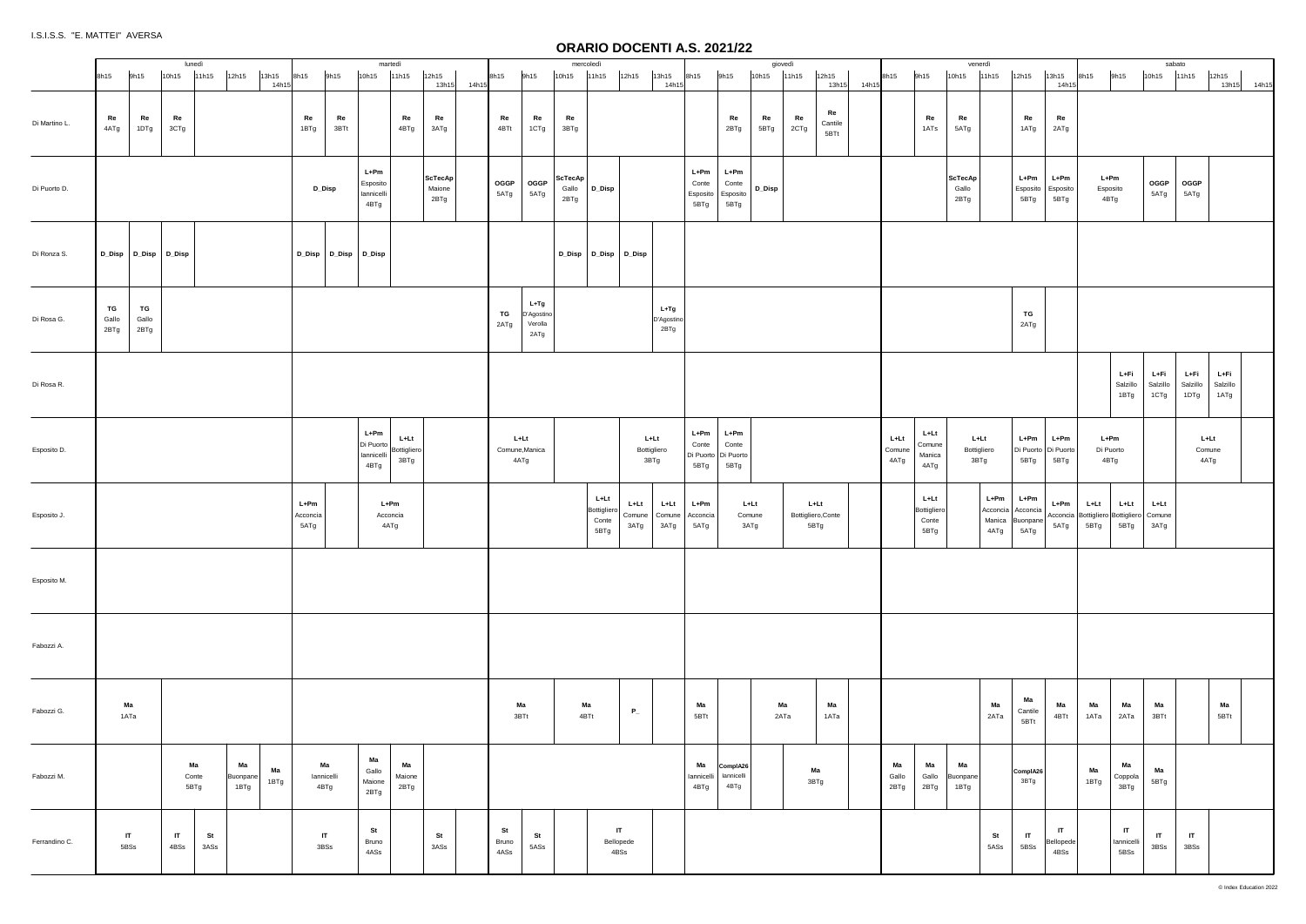|               |                                            |                      | lunedì                                                      |                          |                      | martedì                                   |                               |                           |             |                     |                                       |                          | mercoledì                                      |                               |                              |                                   |                                                | giovedì       |            |                                      |       |                          |                                      | venerdì                     |              |                                                              |                                   |                                                         |                                              | sabato                   |                          |                          |
|---------------|--------------------------------------------|----------------------|-------------------------------------------------------------|--------------------------|----------------------|-------------------------------------------|-------------------------------|---------------------------|-------------|---------------------|---------------------------------------|--------------------------|------------------------------------------------|-------------------------------|------------------------------|-----------------------------------|------------------------------------------------|---------------|------------|--------------------------------------|-------|--------------------------|--------------------------------------|-----------------------------|--------------|--------------------------------------------------------------|-----------------------------------|---------------------------------------------------------|----------------------------------------------|--------------------------|--------------------------|--------------------------|
|               | 9h15<br>8h15                               | 10h15                | 12h15<br>13h15<br>11h15<br>14h15                            | 8h15                     | 9h15                 | 10h15                                     | 11h15                         | 12h15                     | 13h15 14h15 | 8h15                | 9h15                                  | 10h15                    | 11h15                                          | 12h15                         | 13h15<br>14h15               | 8h15                              | 9h15                                           | 10h15         | 11h15      | 12h15<br>13h15                       | 14h15 | 8h15                     | 9h15                                 | 10h15                       | 11h15        | 12h15                                                        | 13h15<br>14h1                     | 8h15                                                    | 9h15                                         | 10h15                    | 11h15                    | 12h15<br>13h15 14h15     |
| Di Martino L. | Re<br>Re<br>4ATg<br>1DTg                   | Re<br>3CTg           |                                                             | Re<br>1BTg               | Re<br>3BTt           |                                           | Re<br>4BTg                    | Re<br>3ATg                |             | Re<br>4BTt          | Re<br>1CTg                            | Re<br>3BTg               |                                                |                               |                              |                                   | Re<br>2BTg                                     | Re<br>5BTg    | Re<br>2CTg | Re<br>Cantile<br>5BTt                |       |                          | Re<br>1ATs                           | Re<br>5ATg                  |              | Re<br>1ATg                                                   | Re<br>2ATg                        |                                                         |                                              |                          |                          |                          |
| Di Puorto D.  |                                            |                      |                                                             | D_Disp                   |                      | $L+Pm$<br>Esposito<br>lannicelli<br>4BTg  |                               | ScTecAp<br>Maione<br>2BTg |             | OGGP<br>5ATg        | OGGP<br>5ATg                          | ScTecAp<br>Gallo<br>2BTg | D_Disp                                         |                               |                              | L+Pm<br>Conte<br>Esposito<br>5BTg | $L+Pm$<br>Conte<br>Esposito<br>5BTg            | $D_{\_}$ Disp |            |                                      |       |                          |                                      | ScTecAp<br>Gallo<br>2BTg    |              | L+Pm<br>Esposito<br>5BTg                                     | $L+Pm$<br>Esposito<br>5BTg        | $L+Pm$<br>Esposito<br>4BTg                              |                                              | OGGP<br>5ATg             | OGGP<br>5ATg             |                          |
| Di Ronza S.   | D_Disp D_Disp D_Disp                       |                      |                                                             |                          | D_Disp D_Disp D_Disp |                                           |                               |                           |             |                     |                                       |                          | D_Disp D_Disp D_Disp                           |                               |                              |                                   |                                                |               |            |                                      |       |                          |                                      |                             |              |                                                              |                                   |                                                         |                                              |                          |                          |                          |
| Di Rosa G.    | TG<br>TG<br>Gallo<br>Gallo<br>2BTg<br>2BTg |                      |                                                             |                          |                      |                                           |                               |                           |             | TG<br>2ATg          | L+Tg<br>D'Agostino<br>Verolla<br>2ATg |                          |                                                |                               | $L+Tg$<br>D'Agostino<br>2BTg |                                   |                                                |               |            |                                      |       |                          |                                      |                             |              | TG<br>2ATg                                                   |                                   |                                                         |                                              |                          |                          |                          |
| Di Rosa R.    |                                            |                      |                                                             |                          |                      |                                           |                               |                           |             |                     |                                       |                          |                                                |                               |                              |                                   |                                                |               |            |                                      |       |                          |                                      |                             |              |                                                              |                                   |                                                         | L+Fi<br>Salzillo<br>1BTg                     | L+Fi<br>Salzillo<br>1CTg | L+Fi<br>Salzillo<br>1DTg | L+Fi<br>Salzillo<br>1ATg |
| Esposito D.   |                                            |                      |                                                             |                          |                      | $L+Pm$<br>Di Puorto<br>lannicelli<br>4BTg | $L+Lt$<br>Bottigliero<br>3BTg |                           |             | 4ATg                | L+Lt<br>Comune, Manica                |                          |                                                | L+Lt<br>Bottigliero<br>3BTg   |                              | L+Pm<br>Conte<br>5BTg             | $L+Pm$<br>Conte<br>Di Puorto Di Puorto<br>5BTg |               |            |                                      |       | $L+Lt$<br>Comune<br>4ATg | $L+Lt$<br>Comune<br>Manica<br>4ATg   | L+Lt<br>Bottigliero<br>3BTg |              | L+Pm<br>Di Puorto Di Puorto<br>5BTg                          | $L+Pm$<br>5BTg                    | L+Pm<br>Di Puorto<br>4BTg                               |                                              |                          | L+Lt<br>Comune<br>4ATg   |                          |
| Esposito J.   |                                            |                      |                                                             | L+Pm<br>Acconcia<br>5ATg |                      |                                           | $L+Pm$<br>Acconcia<br>4ATg    |                           |             |                     |                                       |                          | $L+Lt$<br>Bottigliero<br>Conte<br>5BTg         | L+Lt<br>Comune Comune<br>3ATg | L+Lt<br>3ATg                 | L+Pm<br>Acconcia<br>5ATg          | $L+Lt$<br>Comune<br>3ATg                       |               |            | $L+Lt$<br>Bottigliero, Conte<br>5BTg |       |                          | L+Lt<br>Bottigliero<br>Conte<br>5BTg |                             | L+Pm<br>4ATg | $L+Pm$<br>Acconcia   Acconcia<br>Manica   Buonpane  <br>5ATg | $L+Pm$<br>5ATg                    | L+Lt<br>Acconcia Bottigliero Bottigliero Comune<br>5BTg | L+Lt<br>5BTg                                 | $L+Lt$<br>3ATg           |                          |                          |
| Esposito M.   |                                            |                      |                                                             |                          |                      |                                           |                               |                           |             |                     |                                       |                          |                                                |                               |                              |                                   |                                                |               |            |                                      |       |                          |                                      |                             |              |                                                              |                                   |                                                         |                                              |                          |                          |                          |
| Fabozzi A.    |                                            |                      |                                                             |                          |                      |                                           |                               |                           |             |                     |                                       |                          |                                                |                               |                              |                                   |                                                |               |            |                                      |       |                          |                                      |                             |              |                                                              |                                   |                                                         |                                              |                          |                          |                          |
| Fabozzi G.    | Ма<br>1ATa                                 |                      |                                                             |                          |                      |                                           |                               |                           |             |                     | Ma<br>3BTt                            |                          | Ma<br>4BTt                                     | $P_{-}$                       |                              | Ма<br>5BTt                        |                                                |               | Ma<br>2ATa | Ma<br>1ATa                           |       |                          |                                      |                             | Ma<br>2ATa   | Ма<br>Cantile<br>5BTt                                        | Ma<br>4BTt                        | Ma<br>1ATa                                              | Ma<br>2ATa                                   | Ма<br>3BTt               |                          | Ma<br>5BTt               |
| Fabozzi M.    |                                            |                      | Ma<br>Ma<br>Ma<br>Conte<br>Buonpane<br>1BTg<br>5BTg<br>1BTg | lannicelli               | Ma<br>4BTg           | Ma<br>Gallo<br>Maione<br>2BTg             | Ma<br>Maione<br>2BTg          |                           |             |                     |                                       |                          |                                                |                               |                              | Ма<br>lannicell<br>4BTg           | ComplA26<br>lannicelli<br>4BTg                 |               |            | Ma<br>3BTg                           |       | Ma<br>Gallo<br>2BTg      | Ma<br>Gallo<br>2BTg                  | Ma<br>Buonpane<br>1BTg      |              | ComplA26<br>3BTg                                             |                                   | Ma<br>1BTg                                              | Ma<br>Coppola<br>3BTg                        | Ma<br>5BTg               |                          |                          |
| Ferrandino C. | IT.<br>5BSs                                | $\mathsf{I}$<br>4BSs | St<br>3ASs                                                  | 3BSs                     | IT                   | St<br>Bruno<br>4ASs                       |                               | St<br>3ASs                |             | St<br>Bruno<br>4ASs | St<br>5ASs                            |                          | Bellopede<br>$4\mathsf{B}\mathsf{S}\mathsf{s}$ | $\mathbf{I}$                  |                              |                                   |                                                |               |            |                                      |       |                          |                                      |                             | St<br>5ASs   | $\mathbf{I}$<br>5BSs                                         | $\mathsf{I}$<br>Bellopede<br>4BSs |                                                         | $\mathsf{I}\mathsf{T}$<br>lannicelli<br>5BSs | IT<br>3BSs               | $\mathsf{I}$<br>3BSs     |                          |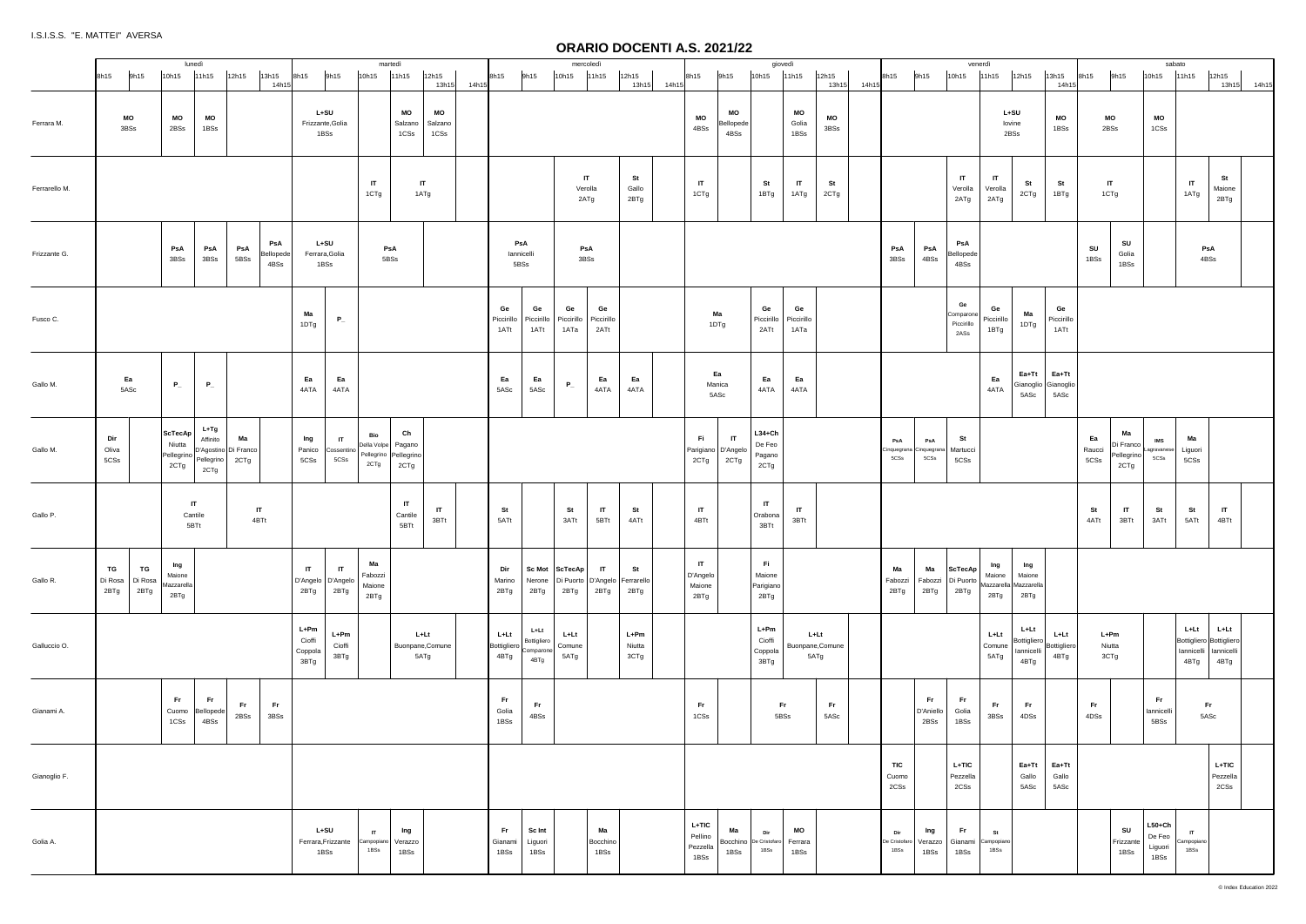|               |                                                | lunedì                              |                                                                   |                                   |                                      |                                            | martedì                                                      |                        |                       |             |                             |                                          |                            | mercoledì                                       |                          |                                            |                                |                                        | giovedì                        |                                  |       |                              |                                        |                                       | venerdì                  |                                                  |                                      |                                                               |       | sabato                                |                                                                                  |             |
|---------------|------------------------------------------------|-------------------------------------|-------------------------------------------------------------------|-----------------------------------|--------------------------------------|--------------------------------------------|--------------------------------------------------------------|------------------------|-----------------------|-------------|-----------------------------|------------------------------------------|----------------------------|-------------------------------------------------|--------------------------|--------------------------------------------|--------------------------------|----------------------------------------|--------------------------------|----------------------------------|-------|------------------------------|----------------------------------------|---------------------------------------|--------------------------|--------------------------------------------------|--------------------------------------|---------------------------------------------------------------|-------|---------------------------------------|----------------------------------------------------------------------------------|-------------|
|               | 9h15<br>8h15                                   | 10h15                               | 11h15<br>12h15<br>13h15                                           | 8h15<br>14h15                     | 9h15                                 |                                            | 10h15                                                        | 11h15                  | 12h15                 | 13h15 14h15 | 8h15                        | 9h15                                     | 10h15                      | 11h15                                           | 12h15<br>13h15 14h15     | 8h15                                       | 9h15                           | 10h15                                  | 11h15                          | 12h15<br>13h15                   | 14h15 | 8h15                         | 9h15                                   | 10h15                                 | 11h15                    | 12h15                                            | 13h15<br>14h1                        | 9h15<br>8h15                                                  | 10h15 |                                       | 11h15<br>12h15                                                                   | 13h15 14h15 |
| Ferrara M.    | МO<br>3BSs                                     | MO<br>2BSs                          | MO<br>1BSs                                                        |                                   | $L+SU$<br>Frizzante, Golia<br>1BSs   |                                            |                                                              | MO<br>Salzano<br>1CSs  | МO<br>Salzano<br>1CSs |             |                             |                                          |                            |                                                 |                          | MO<br>4BSs                                 | MO<br>Bellopede<br>4BSs        |                                        | MO<br>Golia<br>1BSs            | MO<br>3BSs                       |       |                              |                                        |                                       |                          | L+SU<br>lovine<br>2BSs                           | MO<br>1BSs                           | МO<br>2BSs                                                    |       | MO<br>1CSs                            |                                                                                  |             |
| Ferrarello M. |                                                |                                     |                                                                   |                                   |                                      |                                            | $\mathsf{I}$<br>1CTg                                         | IT.<br>1ATg            |                       |             |                             |                                          | Verolla                    | IT<br>2ATg                                      | St<br>Gallo<br>2BTg      | IT<br>1CTg                                 |                                | St<br>1BTg                             | $\mathsf{I}$<br>1ATg           | St<br>2CTg                       |       |                              |                                        | IT<br>Verolla<br>2ATg                 | IT<br>Verolla<br>2ATg    | St<br>2CTg                                       | St<br>1BTg                           | $\mathsf{I}$<br>1CTg                                          |       |                                       | St<br>$\mathsf{I}$<br>Maione<br>1ATg<br>2BTg                                     |             |
| Frizzante G.  |                                                | PsA<br>3BSs                         | PsA<br>PsA<br>3BSs<br>5BSs                                        | PsA<br>Bellopede<br>4BSs          | $L+SU$<br>Ferrara, Golia<br>1BSs     |                                            | PsA<br>5BSs                                                  |                        |                       |             |                             | PsA<br>lannicelli<br>5BSs                |                            | PsA<br>3BSs                                     |                          |                                            |                                |                                        |                                |                                  |       | PsA<br>3BSs                  | PsA<br>4BSs                            | PsA<br>Bellopede<br>4BSs              |                          |                                                  |                                      | SU<br>SU<br>Golia<br>1BSs                                     | 1BSs  |                                       | PsA<br>4BSs                                                                      |             |
| Fusco C.      |                                                |                                     |                                                                   | Ma<br>1DTg                        |                                      | $\mathbf{P}_{-}$                           |                                                              |                        |                       |             | Ge<br>Piccirillo<br>1ATt    | Ge<br>Piccirillo<br>1ATt                 | Ge<br>Piccirillo<br>1ATa   | Ge<br>Piccirillo<br>2ATt                        |                          |                                            | Ma<br>1DTg                     | Ge<br>Piccirillo<br>2ATt               | Ge<br>Piccirillo<br>1ATa       |                                  |       |                              |                                        | Ge<br>Comparone<br>Piccirillo<br>2ASs | Ge<br>Piccirillo<br>1BTg | Ma<br>1DTg                                       | Ge<br>Piccirillo<br>1ATt             |                                                               |       |                                       |                                                                                  |             |
| Gallo M.      | Ea<br>5ASc                                     | $P_{-}$                             | $P_{-}$                                                           | Ea<br>4ATA                        |                                      | Ea<br>4ATA                                 |                                                              |                        |                       |             | Ea<br>5ASc                  | Ea<br>5ASc                               | $P_{-}$                    | Ea<br>4ATA                                      | Ea<br>4ATA               | Manica<br>5ASc                             | Ea                             | Ea<br>4ATA                             | Ea<br>4ATA                     |                                  |       |                              |                                        |                                       | Ea<br>4ATA               | $Ea+Tt$<br>5ASc                                  | Ea+Tt<br>Gianoglio Gianoglio<br>5ASc |                                                               |       |                                       |                                                                                  |             |
| Gallo M.      | Dir<br>Oliva<br>5CSs                           | ScTecAp<br>Niutta<br>2CTg           | L+Tg<br>Ma<br>Affinito<br>Pellegrino D'Agostino Di Franco<br>2CTg | Ing<br>Panico<br>5CSs             |                                      | $\mathsf{I}$<br>Cossentino<br>$5{\rm CSs}$ | Bio<br>Della Volpe   Pagano<br>Pellegrino Pellegrino<br>2CTg | Ch<br>2CTg             |                       |             |                             |                                          |                            |                                                 |                          | Fi<br>Parigiano D'Angelo<br>2CTg           | $\mathsf{I}\mathsf{T}$<br>2CTg | $L34 + Ch$<br>De Feo<br>Pagano<br>2CTg |                                |                                  |       | PsA<br>5CSs                  | PsA<br>Cinquegrana Cinquegrana<br>5CSs | St<br>Martucci<br>5CSs                |                          |                                                  |                                      | Ma<br>Ea<br>Di Franco<br>Raucci<br>Pellegrino<br>5CSs<br>2CTg |       | IMS<br>Lagravanese<br>5CSs            | Ma<br>Liguori<br>5CSs                                                            |             |
| Gallo P.      |                                                | $\mathsf{I}$<br>Cantile<br>5BTt     | $\mathsf{I}$<br>4BTt                                              |                                   |                                      |                                            |                                                              | IT<br>Cantile<br>5BTt  | IT.<br>3BTt           |             | St<br>5ATt                  |                                          | St<br>3ATt                 | IT<br>5BTt                                      | St<br>4ATt               | IT<br>4BTt                                 |                                | $\mathsf{I}$<br>Orabona<br>3BTt        | $\mathsf{I}\mathsf{T}$<br>3BTt |                                  |       |                              |                                        |                                       |                          |                                                  |                                      | St<br>IT<br>4ATt<br>3BTt                                      |       | St<br>3ATt                            | IT<br>St<br>4BTt<br>5ATt                                                         |             |
| Gallo R.      | TG<br>TG<br>Di Rosa<br>Di Rosa<br>2BTg<br>2BTg | Ing<br>Maione<br>Mazzarella<br>2BTg |                                                                   | $\mathsf{I}$<br>D'Angelo<br>2BTg  |                                      | $\mathsf{I}$<br>D'Angelo<br>2BTg           | Ма<br>Fabozzi<br>Maione<br>2BTg                              |                        |                       |             | Dir<br>Marino<br>2BTg       | Nerone<br>2BTg                           | Sc Mot   ScTecAp  <br>2BTg | IT<br>Di Puorto   D'Angelo   Ferrarello<br>2BTg | St<br>2BTg               | $\mathsf{I}$<br>D'Angelo<br>Maione<br>2BTg |                                | Fi.<br>Maione<br>Parigiano<br>2BTg     |                                |                                  |       | Ma<br>Fabozzi<br>2BTg        | Ma<br>2BTg                             | ScTecAp<br>Fabozzi Di Puorto<br>2BTg  | Ing<br>Maione<br>2BTg    | Ing<br>Maione<br>Mazzarella   Mazzarella<br>2BTg |                                      |                                                               |       |                                       |                                                                                  |             |
| Galluccio O.  |                                                |                                     |                                                                   | L+Pm<br>Cioffi<br>Coppola<br>3BTg |                                      | $L+Pm$<br>Cioffi<br>3BTg                   |                                                              | $L+Lt$<br>5ATg         | Buonpane, Comune      |             | L+Lt<br>Bottigliero<br>4BTg | L+Lt<br>Bottigliero<br>Comparone<br>4BTg | L+Lt<br>Comune<br>5ATg     |                                                 | $L+Pm$<br>Niutta<br>3CTg |                                            |                                | L+Pm<br>Cioffi<br>Coppola<br>3BTg      |                                | L+Lt<br>Buonpane, Comune<br>5ATg |       |                              |                                        |                                       | L+Lt<br>Comune<br>5ATg   | L+Lt<br>Bottigliero<br>lannicelli<br>4BTg        | L+Lt<br>Bottiglierc<br>4BTg          | L+Pm<br>Niutta<br>3CTg                                        |       |                                       | L+Lt<br>L+Lt<br>Bottigliero Bottigliero<br>lannicelli lannicelli<br>4BTg<br>4BTg |             |
| Gianami A.    |                                                | Fr.<br>Cuomo<br>$1CSS$              | Fr.<br>Fr.<br>Bellopede<br>2BSS<br>4BSs                           | Fr.<br>3BSs                       |                                      |                                            |                                                              |                        |                       |             | Fr<br>Golia<br>1BSs         | Fr.<br>4BSs                              |                            |                                                 |                          | Fr.<br>1CSs                                |                                |                                        | Fr.<br>5BSs                    | Fr.<br>5ASc                      |       |                              | Fr.<br>D'Aniello<br>2BSs               | Fr .<br>Golia<br>1BSs                 | Fr.<br>$3{\sf BSS}$      | Fr.<br>4DSs                                      |                                      | Fr.<br>4DSs                                                   |       | Fr.<br>lannicelli<br>5BSs             | Fr.<br>5ASc                                                                      |             |
| Gianoglio F.  |                                                |                                     |                                                                   |                                   |                                      |                                            |                                                              |                        |                       |             |                             |                                          |                            |                                                 |                          |                                            |                                |                                        |                                |                                  |       | TIC<br>Cuomo<br>2CSs         |                                        | L+TIC<br>Pezzella<br>2CSs             |                          | Ea+Tt<br>Gallo<br>5ASc                           | Ea+Tt<br>Gallo<br>5ASc               |                                                               |       |                                       | $L+TIC$<br>Pezzella<br>2CSs                                                      |             |
| Golia A.      |                                                |                                     |                                                                   |                                   | $L+SU$<br>Ferrara, Frizzante<br>1BSs |                                            | $\mathsf{I}$<br>Campopiano<br>1BSs                           | Ing<br>Verazzo<br>1BSs |                       |             | Fr.<br>Gianami<br>1BSs      | Sc Int<br>Liguori<br>1BSs                |                            | Ma<br>Bocchino<br>1BSs                          |                          | L+TIC<br>Pellino<br>Pezzella<br>1BSs       | Ma<br>1BSs                     | Dir<br>Bocchino De Cristofaro<br>1BSS  | MO<br>Ferrara<br>1BSs          |                                  |       | Dir<br>De Cristofaro<br>1BSs | Ing<br>Verazzo<br>1BSs                 | Fr.<br>Gianami<br>1BSs                | St<br>Campopiano<br>1BSs |                                                  |                                      | SU<br>Frizzante<br>1BSs                                       |       | $L50+Ch$<br>De Feo<br>Liguori<br>1BSs | $\mathsf{I}$<br>Campopiano<br>1BSs                                               |             |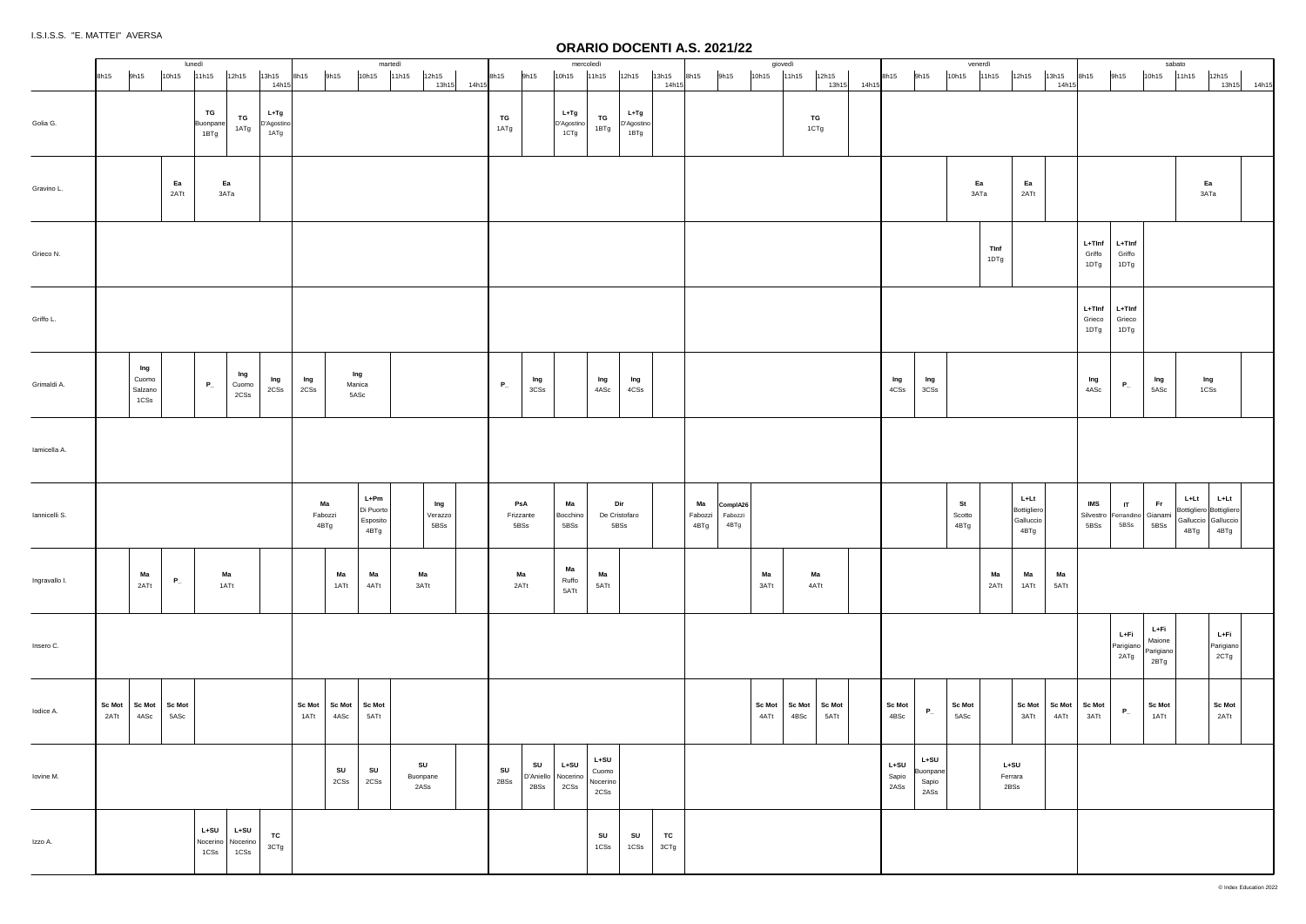|               | 9h15<br>8h15                             | 10h15          | lunedì<br>11h15        | 12h15                               | 13h15                        | 8h15                  | 9h15                    | martedì<br>10h15                      | 11h15<br>12h15         |             | 8h15                     | 9h15                             | mercoledì<br>10h15          | 11h15                               | 12h15                      | 13h15             | 9h15<br>8h15          |                             | giovedì<br>$10h15$ $11h15$ |      | 12h15                 |       | 8h15                    | 9h15                                | venerdì<br>10h15      | 11h15               | 12h15                                    | 13h15      | 8h15                                               | 9h15                       | sabato<br>10h15                     | 11h15<br>12h15                                                                   |
|---------------|------------------------------------------|----------------|------------------------|-------------------------------------|------------------------------|-----------------------|-------------------------|---------------------------------------|------------------------|-------------|--------------------------|----------------------------------|-----------------------------|-------------------------------------|----------------------------|-------------------|-----------------------|-----------------------------|----------------------------|------|-----------------------|-------|-------------------------|-------------------------------------|-----------------------|---------------------|------------------------------------------|------------|----------------------------------------------------|----------------------------|-------------------------------------|----------------------------------------------------------------------------------|
|               |                                          |                |                        |                                     | 14h15                        |                       |                         |                                       |                        | 13h15 14h15 |                          |                                  |                             |                                     |                            | 14h15             |                       |                             |                            |      | 13h15                 | 14h15 |                         |                                     |                       |                     |                                          | 14h1       |                                                    |                            |                                     | 13h15 14h15                                                                      |
| Golia G.      |                                          |                | TG<br>Buonpane<br>1BTg | TG<br>1ATg                          | $L+Tg$<br>D'Agostino<br>1ATg |                       |                         |                                       |                        |             | TG<br>1ATg               |                                  | L+Tg<br>D'Agostino<br>1CTg  | TG<br>1BTg                          | L+Tg<br>D'Agostino<br>1BTg |                   |                       |                             |                            |      | TG<br>1CTg            |       |                         |                                     |                       |                     |                                          |            |                                                    |                            |                                     |                                                                                  |
| Gravino L.    |                                          | Ea<br>2ATt     |                        | Ea<br>3ATa                          |                              |                       |                         |                                       |                        |             |                          |                                  |                             |                                     |                            |                   |                       |                             |                            |      |                       |       |                         |                                     | Ea<br>3ATa            |                     | Ea<br>2ATt                               |            |                                                    |                            |                                     | Ea<br>ЗАТа                                                                       |
| Grieco N.     |                                          |                |                        |                                     |                              |                       |                         |                                       |                        |             |                          |                                  |                             |                                     |                            |                   |                       |                             |                            |      |                       |       |                         |                                     |                       | <b>TInf</b><br>1DTg |                                          |            | $L+TInf$<br>Griffo<br>1DTg                         | $L+Tlnf$<br>Griffo<br>1DTg |                                     |                                                                                  |
| Griffo L.     |                                          |                |                        |                                     |                              |                       |                         |                                       |                        |             |                          |                                  |                             |                                     |                            |                   |                       |                             |                            |      |                       |       |                         |                                     |                       |                     |                                          |            | $L+TInf$<br>Grieco<br>1DTg                         | L+TInf<br>Grieco<br>1DTg   |                                     |                                                                                  |
| Grimaldi A.   | Ing<br>Cuomo<br>Salzano<br>1CSs          |                | $P_{-}$                | Ing<br>Cuomo<br>2CSs                | Ing<br>2CSs                  | Ing<br>2CSs           | Ing<br>Manica<br>5ASc   |                                       |                        |             | $P_{-}$                  | Ing<br>3CSs                      |                             | Ing<br>4ASc                         | Ing<br>4CSs                |                   |                       |                             |                            |      |                       |       | Ing<br>4CSs             | Ing<br>3CSs                         |                       |                     |                                          |            | Ing<br>4ASc                                        | $P_{-}$                    | Ing<br>5ASc                         | Ing<br>1CSs                                                                      |
| lamicella A.  |                                          |                |                        |                                     |                              |                       |                         |                                       |                        |             |                          |                                  |                             |                                     |                            |                   |                       |                             |                            |      |                       |       |                         |                                     |                       |                     |                                          |            |                                                    |                            |                                     |                                                                                  |
| Iannicelli S. |                                          |                |                        |                                     |                              | Ma<br>Fabozzi<br>4BTg |                         | L+Pm<br>Di Puorto<br>Esposito<br>4BTg | Ing<br>Verazzo<br>5BSs |             | PsA<br>Frizzante<br>5BSs |                                  | Ma<br>Bocchino<br>5BSs      | Dir<br>De Cristofaro<br>5BSs        |                            |                   | Ма<br>Fabozzi<br>4BTg | ComplA26<br>Fabozzi<br>4BTg |                            |      |                       |       |                         |                                     | St<br>Scotto<br>4BTg  |                     | L+Lt<br>Bottigliero<br>Galluccio<br>4BTg |            | <b>IMS</b><br>Silvestro Ferrandino Gianami<br>5BSs | $\mathsf{I}$<br>5BSs       | Fr.<br>5BSs                         | $L+Lt$<br>L+Lt<br>Bottigliero Bottigliero<br>Galluccio Galluccio<br>4BTg<br>4BTg |
| Ingravallo I. | Ma<br>2ATt                               | $\mathsf{P}_-$ |                        | Ma<br>1ATt                          |                              |                       | Ma<br>1ATt              | Ma<br>4ATt                            | Ma<br>3ATt             |             | Ma<br>2ATt               |                                  | Ma<br>Ruffo<br>5ATt         | Ma<br>5ATt                          |                            |                   |                       |                             | Ma<br>3ATt                 |      | Ma<br>4ATt            |       |                         |                                     |                       | Ma<br>2ATt          | Ma<br>1ATt                               | Ma<br>5ATt |                                                    |                            |                                     |                                                                                  |
| Insero C.     |                                          |                |                        |                                     |                              |                       |                         |                                       |                        |             |                          |                                  |                             |                                     |                            |                   |                       |                             |                            |      |                       |       |                         |                                     |                       |                     |                                          |            |                                                    | L+Fi<br>Parigiano<br>2ATg  | L+Fi<br>Maione<br>Parigiano<br>2BTg | L+Fi<br>Parigiano<br>2CTg                                                        |
| lodice A.     | Sc Mot   Sc Mot   Sc Mot<br>2ATt<br>4ASc | 5ASc           |                        |                                     |                              | Sc Mot<br>1ATt        | Sc Mot Sc Mot<br>4ASc   | 5ATt                                  |                        |             |                          |                                  |                             |                                     |                            |                   |                       |                             | Sc Mot<br>4ATt             | 4BSc | Sc Mot Sc Mot<br>5ATt |       | <b>Sc Mot</b><br>4BSc   | $P_{-}$                             | <b>Sc Mot</b><br>5ASc |                     | 3ATt                                     | 4ATt       | Sc Mot Sc Mot Sc Mot<br>3ATt                       | $P_{-}$                    | <b>Sc Mot</b><br>1ATt               | <b>Sc Mot</b><br>2ATt                                                            |
| Iovine M.     |                                          |                |                        |                                     |                              |                       | SU<br>$2{\mathbb C}$ Ss | ${\sf SU}$<br>2CSs                    | SU<br>Buonpane<br>2ASs |             | SU<br>2BSs               | SU<br>D'Aniello Nocerino<br>2BSs | $L+SU$<br>$2{\mathbb C}$ Ss | $L+SU$<br>Cuomo<br>Nocerino<br>2CSs |                            |                   |                       |                             |                            |      |                       |       | $L+SU$<br>Sapio<br>2ASs | $L+SU$<br>Buonpane<br>Sapio<br>2ASs |                       |                     | $L+SU$<br>Ferrara<br>2BSs                |            |                                                    |                            |                                     |                                                                                  |
| Izzo A.       |                                          |                | $L+SU$<br>1CSs         | $L+SU$<br>Nocerino Nocerino<br>1CSs | ${\tt TC}$<br>3CTg           |                       |                         |                                       |                        |             |                          |                                  |                             | ${\sf SU}$<br>$1CSS$                | ${\sf SU}$<br>1CSs         | <b>TC</b><br>3CTg |                       |                             |                            |      |                       |       |                         |                                     |                       |                     |                                          |            |                                                    |                            |                                     |                                                                                  |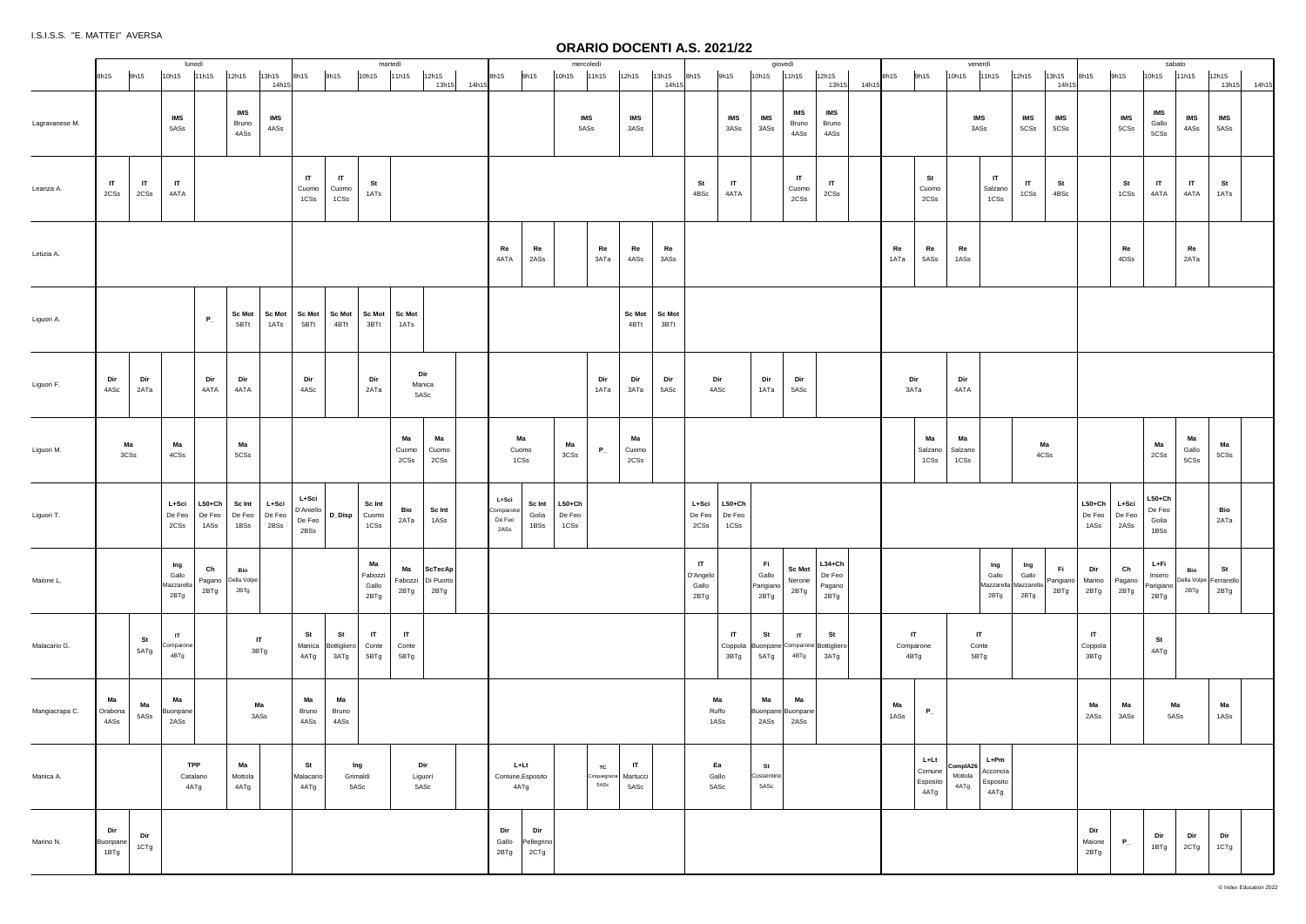|                | 8h15                    | 9h15                 | lunedì<br>10h15                    | 11h15                        | 12h15                                       | 13h15<br>14h1                  | 8h15                                 | 9h15                          | martedì<br>10h15               | 11h15                         | 12h15                               | 13h15 14h15 | 8h15                                 | 9h15                      | mercoledì<br>10h15           | 11h15                     | 12h15                            | 13h15<br>14h15        | 8h15                                      | 9h15                           | giovedì<br>10h15                  | 11h15                           | 12h15<br>13h15                               | 14h15 | 8h15       | 9h15                               | 10h15                       | venerdì<br>11h15                       | 12h15                                           | 13h15<br>14h15          | 8h15                       | 9h15                    | 10h15                               | sabato<br>11h15      | 12h15<br>13h15                       | 14h15 |
|----------------|-------------------------|----------------------|------------------------------------|------------------------------|---------------------------------------------|--------------------------------|--------------------------------------|-------------------------------|--------------------------------|-------------------------------|-------------------------------------|-------------|--------------------------------------|---------------------------|------------------------------|---------------------------|----------------------------------|-----------------------|-------------------------------------------|--------------------------------|-----------------------------------|---------------------------------|----------------------------------------------|-------|------------|------------------------------------|-----------------------------|----------------------------------------|-------------------------------------------------|-------------------------|----------------------------|-------------------------|-------------------------------------|----------------------|--------------------------------------|-------|
| Lagravanese M. |                         |                      | <b>IMS</b><br>5ASs                 |                              | <b>IMS</b><br>Bruno<br>4ASs                 | IMS<br>$4\mathsf{ASs}$         |                                      |                               |                                |                               |                                     |             |                                      |                           | IMS<br>5ASs                  |                           | <b>IMS</b><br>3ASs               |                       |                                           | <b>IMS</b><br>3ASs             | <b>IMS</b><br>3ASs                | IMS<br>Bruno<br>4ASs            | <b>IMS</b><br>Bruno<br>4ASs                  |       |            |                                    |                             | IMS<br>3ASs                            | IMS<br>5CSs                                     | IMS<br>5CSs             |                            | IMS<br>5CSs             | IMS<br>Gallo<br>5CSs                | <b>IMS</b><br>4ASs   | <b>IMS</b><br>5ASs                   |       |
| Leanza A.      | $\mathsf{I}$<br>2CSs    | $\mathsf{I}$<br>2CSs | $\mathbf{I}$<br>4ATA               |                              |                                             |                                | $\mathsf{I}$<br>Cuomo<br>1CSs        | $\mathsf{I}$<br>Cuomo<br>1CSs | St<br>1ATs                     |                               |                                     |             |                                      |                           |                              |                           |                                  |                       | St<br>4BSc                                | $\mathsf{I}\mathsf{T}$<br>4ATA |                                   | $\mathbf{I}$<br>Cuomo<br>2CSs   | $\mathbf{H}$<br>$2\mathtt{CSs}$              |       |            | St<br>Cuomo<br>2CSs                |                             | IT<br>Salzano<br>1CSs                  | $\mathsf{I}\mathsf{T}$<br>1CSs                  | St<br>4BSc              |                            | St<br>1CSs              | $\mathbf{H}$<br>4ATA                | $\mathbf{I}$<br>4ATA | St<br>1ATs                           |       |
| Letizia A.     |                         |                      |                                    |                              |                                             |                                |                                      |                               |                                |                               |                                     |             | Re<br>4ATA                           | Re<br>2ASs                |                              | Re<br>зата                | Re<br>4ASs                       | Re<br>3ASs            |                                           |                                |                                   |                                 |                                              |       | Re<br>1ATa | Re<br>5ASs                         | Re<br>1ASs                  |                                        |                                                 |                         |                            | Re<br>4DSs              |                                     | Re<br>2ATa           |                                      |       |
| Liguori A.     |                         |                      |                                    | $P_{-}$                      | 5BTt                                        | Sc Mot Sc Mot<br>1ATs          | Sc Mot Sc Mot<br>5BTt                | 4BTt                          | <b>Sc Mot</b><br>3BTt          | <b>Sc Mot</b><br>1ATs         |                                     |             |                                      |                           |                              |                           | <b>Sc Mot</b><br>4BTt            | <b>Sc Mot</b><br>3BTt |                                           |                                |                                   |                                 |                                              |       |            |                                    |                             |                                        |                                                 |                         |                            |                         |                                     |                      |                                      |       |
| Liguori F.     | Dir<br>4ASc             | Dir<br>2ATa          |                                    | Dir<br>4ATA                  | Dir<br>4ATA                                 |                                | Dir<br>4ASc                          |                               | Dir<br>2ATa                    |                               | Dir<br>Manica<br>5ASc               |             |                                      |                           |                              | Dir<br>1ATa               | Dir<br>зата                      | Dir<br>5ASc           |                                           | Dir<br>4ASc                    | Dir<br>1ATa                       | Dir<br>5ASc                     |                                              |       |            | Dir<br>ЗАТа                        | Dir<br>4ATA                 |                                        |                                                 |                         |                            |                         |                                     |                      |                                      |       |
| Liguori M.     | Ma<br>3CSs              |                      | Ma<br>4CSs                         |                              | Ma<br>5CSs                                  |                                |                                      |                               |                                | Ma<br>Cuomo<br>2CSs           | Ma<br>Cuomo<br>2CSs                 |             | Ma<br>Cuomo<br>1CSs                  |                           | Ma<br>3CSs                   | $P_{-}$                   | Ma<br>Cuomo<br>2CSs              |                       |                                           |                                |                                   |                                 |                                              |       |            | Ма<br>Salzano<br>1CSs              | Ma<br>Salzano<br>1CSs       |                                        |                                                 | Ma<br>4CSs              |                            |                         | Ma<br>2CSs                          | Ma<br>Gallo<br>5CSs  | Ma<br>5CSs                           |       |
| Liguori T.     |                         |                      | L+Sci<br>De Feo<br>2CSs            | $ $ L50+Ch<br>De Feo<br>1ASs | $Sc$ Int $\vert$<br>De Feo   De Feo<br>1BSs | L+Sci<br>2BSs                  | L+Sci<br>D'Aniello<br>De Feo<br>2BSs | D_Disp Cuomo                  | Sc Int<br>1CSs                 | Bio<br>2ATa                   | Sc Int<br>1ASs                      |             | L+Sci<br>Comparone<br>De Feo<br>2ASs | Sc Int<br>Golia<br>1BSs   | $ $ L50+Ch<br>De Feo<br>1CSs |                           |                                  |                       | L+Sci<br>De Feo<br>2CSs                   | $L50+Ch$<br>De Feo<br>1CSs     |                                   |                                 |                                              |       |            |                                    |                             |                                        |                                                 |                         | $L50+Ch$<br>De Feo<br>1ASs | L+Sci<br>De Feo<br>2ASs | $L50+Ch$<br>De Feo<br>Golia<br>1BSs |                      | Bio<br>2ATa                          |       |
| Maione L.      |                         |                      | Ing<br>Gallo<br>Mazzarella<br>2BTg | Ch<br>2BTg                   | Bio<br>Pagano Della Volpe<br>2BTg           |                                |                                      |                               | Ma<br>Fabozzi<br>Gallo<br>2BTg | Ma<br>Fabozzi<br>2BTg         | <b>ScTecAp</b><br>Di Puorto<br>2BTg |             |                                      |                           |                              |                           |                                  |                       | $\mathsf{I}$<br>D'Angelo<br>Gallo<br>2BTg |                                | Fi.<br>Gallo<br>Parigiano<br>2BTg | <b>Sc Mot</b><br>Nerone<br>2BTg | $L34 + Ch$<br>De Feo<br>Pagano<br>2BTg       |       |            |                                    |                             | Ing<br>Gallo<br>2BTg                   | Ing<br>Gallo<br>Mazzarella   Mazzarella<br>2BTg | Fi<br>Parigiano<br>2BTg | Dir<br>Marino<br>2BTg      | Ch<br>Pagano<br>2BTg    | L+Fi<br>Insero<br>Parigiano<br>2BTg | Bio<br>2BTg          | St<br>Della Volpe Ferrarello<br>2BTg |       |
| Malacario G.   |                         | St<br>5ATg           | $\mathsf{I}$<br>Comparone<br>4BTg  |                              |                                             | $\mathsf{I}\mathsf{T}$<br>3BTg | St<br>Manica<br>4ATg                 | St<br>Bottigliero<br>3ATg     | IT<br>Conte<br>5BTg            | $\mathbf{I}$<br>Conte<br>5BTg |                                     |             |                                      |                           |                              |                           |                                  |                       |                                           | IT<br>Coppola<br>3BTg          | St<br>5ATg                        | $\mathsf{I}$<br>4BTg            | St<br>Buonpane Comparone Bottigliero<br>3ATg |       |            | IT<br>Comparone<br>4BTg            |                             | IT<br>Conte<br>5BTg                    |                                                 |                         | IT<br>Coppola<br>3BTg      |                         | St<br>4ATg                          |                      |                                      |       |
| Mangiacrapa C. | Ma<br>Orabona<br>4ASs   | Ma<br>5ASs           | Ma<br>Buonpane<br>2ASs             |                              |                                             | Ma<br>3ASs                     | Ma<br>Bruno<br>4ASs                  | Ma<br>Bruno<br>4ASs           |                                |                               |                                     |             |                                      |                           |                              |                           |                                  |                       |                                           | Ma<br>Ruffo<br>1ASs            | Ma<br>Buonpane Buonpane<br>2ASs   | Ma<br>2ASs                      |                                              |       | Ma<br>1ASs | $P_{-}$                            |                             |                                        |                                                 |                         | Ma<br>2ASs                 | Ma<br>3ASs              |                                     | Ma<br>5ASs           | Ma<br>1ASs                           |       |
| Manica A.      |                         |                      | TPP<br>Catalano<br>4ATg            |                              | Ma<br>Mottola<br>4ATg                       |                                | St<br>Malacario<br>4ATg              | Ing<br>Grimaldi<br>5ASc       |                                |                               | Dir<br>Liguori<br>5ASc              |             | L+Lt<br>Comune, Esposito<br>4ATg     |                           |                              | TC<br>Cinquegrana<br>5ASc | $\mathsf{I}$<br>Martucci<br>5ASc |                       |                                           | Ea<br>Gallo<br>5ASc            | St<br>Cossentino<br>5ASc          |                                 |                                              |       |            | L+Lt<br>Comune<br>Esposito<br>4ATg | ComplA26<br>Mottola<br>4ATg | $L+Pm$<br>Acconcia<br>Esposito<br>4ATg |                                                 |                         |                            |                         |                                     |                      |                                      |       |
| Marino N.      | Dir<br>Buonpane<br>1BTg | Dir<br>1CTg          |                                    |                              |                                             |                                |                                      |                               |                                |                               |                                     |             | Dir<br>Gallo<br>2BTg                 | Dir<br>Pellegrino<br>2CTg |                              |                           |                                  |                       |                                           |                                |                                   |                                 |                                              |       |            |                                    |                             |                                        |                                                 |                         | Dir<br>Maione<br>2BTg      | $P_{-}$                 | Dir<br>1BTg                         | Dir<br>2CTg          | Dir<br>1CTg                          |       |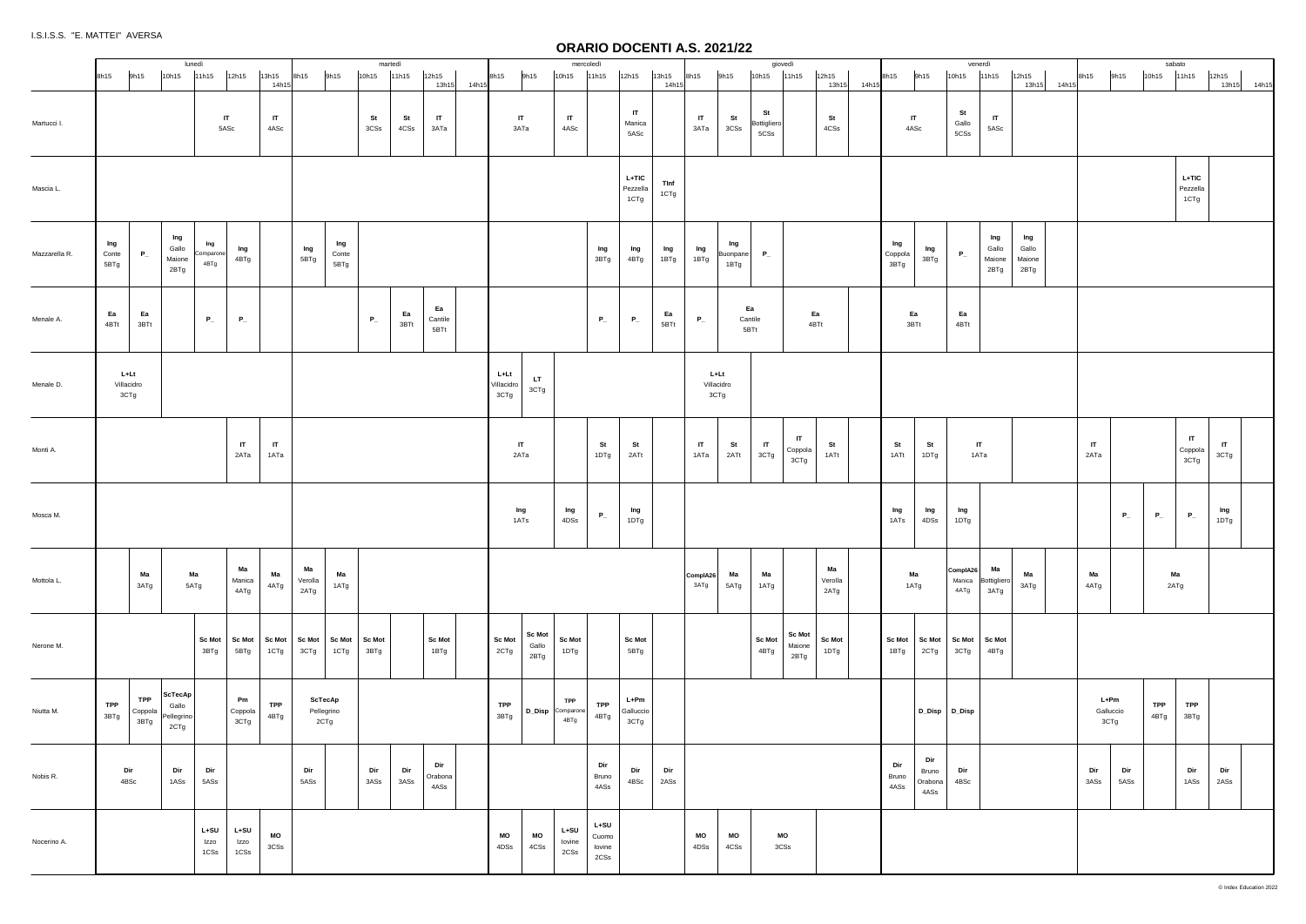|               |                                                     | lunedì                                 |                          |                          |                      |                       |                       | martedì        |                   |                        |             |                            |                                | mercoledì                             |                                                |                             |                |                                         |                         | giovedì                        |                                   |                       |       |                                |                                 |                            | venerdì                        |                                |             |                           |             | sabato      |                                 |                      |
|---------------|-----------------------------------------------------|----------------------------------------|--------------------------|--------------------------|----------------------|-----------------------|-----------------------|----------------|-------------------|------------------------|-------------|----------------------------|--------------------------------|---------------------------------------|------------------------------------------------|-----------------------------|----------------|-----------------------------------------|-------------------------|--------------------------------|-----------------------------------|-----------------------|-------|--------------------------------|---------------------------------|----------------------------|--------------------------------|--------------------------------|-------------|---------------------------|-------------|-------------|---------------------------------|----------------------|
|               | 9h15<br>8h15                                        | 10h15                                  | 11h15                    | 12h15                    | 13h15<br>14h15       | 8h15                  | 9h15                  | 10h15          | 11h15             | 12h15                  | 13h15 14h15 | 9h15<br>8h15               | 10h15                          |                                       | 11h15                                          | 12h15                       | 13h15<br>14h15 | 8h15                                    | 9h15                    | $10h15$ 11h15                  |                                   | 12h15<br>13h15        | 14h15 | 8h15                           | 9h15                            | 10h15                      | 11h15                          | 12h15                          | 13h15 14h15 | 9h15<br>8h15              | 10h15       |             | 11h15                           | 12h15<br>13h15 14h15 |
| Martucci I.   |                                                     |                                        | IT<br>5ASc               |                          | $\mathsf{I}$<br>4ASc |                       |                       | St<br>3CSs     | <b>St</b><br>4CSs | $\mathsf{I}$<br>ЗАТа   |             | IT<br>ЗАТа                 |                                | $\mathbf{I}$<br>4ASc                  |                                                | IT<br>Manica<br>5ASc        |                | $\mathsf{I}$<br>3ATa                    | St<br>3CSs              | St<br>Bottigliero<br>5CSs      |                                   | St<br>$4\mathtt{CSs}$ |       | $\mathsf{I}\mathsf{T}$<br>4ASc |                                 | St<br>Gallo<br>5CSs        | $\mathsf{I}\mathsf{T}$<br>5ASc |                                |             |                           |             |             |                                 |                      |
| Mascia L.     |                                                     |                                        |                          |                          |                      |                       |                       |                |                   |                        |             |                            |                                |                                       |                                                | $L+TIC$<br>Pezzella<br>1CTg | Tinf<br>1CTg   |                                         |                         |                                |                                   |                       |       |                                |                                 |                            |                                |                                |             |                           |             |             | $L + TIC$<br>Pezzella<br>1CTg   |                      |
| Mazzarella R. | Ing<br>$P_{-}$<br>Conte<br>5BTg                     | Ing<br>Gallo<br>Maione<br>2BTg         | Ing<br>Comparone<br>4BTg | Ing<br>4BTg              |                      | Ing<br>5BTg           | Ing<br>Conte<br>5BTg  |                |                   |                        |             |                            |                                |                                       | Ing<br>3BTg                                    | Ing<br>4BTg                 | Ing<br>1BTg    | Ing<br>1BTg                             | Ing<br>Buonpane<br>1BTg | $P_{-}$                        |                                   |                       |       | Ing<br>Coppola<br>3BTg         | lng<br>3BTg                     | $P_{-}$                    | Ing<br>Gallo<br>Maione<br>2BTg | Ing<br>Gallo<br>Maione<br>2BTg |             |                           |             |             |                                 |                      |
| Menale A.     | Ea<br>Ea<br>4BTt<br>3BTt                            |                                        | $P_{-}$                  | $P_{-}$                  |                      |                       |                       | $P_{-}$        | Ea<br>3BTt        | Ea<br>Cantile<br>5BTt  |             |                            |                                |                                       | $P_{-}$                                        | $P_{-}$                     | Ea<br>5BTt     | $P_{-}$                                 | Ea<br>Cantile<br>5BTt   |                                | Ea<br>4BTt                        |                       |       | Ea<br>3BTt                     |                                 | Ea<br>4BTt                 |                                |                                |             |                           |             |             |                                 |                      |
| Menale D.     | L+Lt<br>Villacidro<br>3CTg                          |                                        |                          |                          |                      |                       |                       |                |                   |                        |             | L+Lt<br>Villacidro<br>3CTg | LT.<br>3CTg                    |                                       |                                                |                             |                | $L+Lt$<br>Villacidro<br>3CTg            |                         |                                |                                   |                       |       |                                |                                 |                            |                                |                                |             |                           |             |             |                                 |                      |
| Monti A.      |                                                     |                                        |                          | IT<br>2ATa               | $\mathsf{I}$<br>1ATa |                       |                       |                |                   |                        |             | $\mathsf{I}$<br>2ATa       |                                |                                       | St<br>1DTg                                     | St<br>2ATt                  |                | $\mathsf{I}$<br>1ATa                    | St<br>2ATt              | $\mathsf{I}\mathsf{T}$<br>3CTg | $\blacksquare$<br>Coppola<br>3CTg | St<br>1ATt            |       | St<br>1ATt                     | St<br>1DTg                      | $\mathsf{I}$<br>1ATa       |                                |                                |             | IT<br>2ATa                |             |             | $\mathsf{I}$<br>Coppola<br>3CTg | $\mathsf{I}$<br>3CTg |
| Mosca M.      |                                                     |                                        |                          |                          |                      |                       |                       |                |                   |                        |             | Ing<br>1ATs                |                                | Ing<br>4DSs                           | $P_{-}$                                        | Ing<br>1DTg                 |                |                                         |                         |                                |                                   |                       |       | Ing<br>1ATs                    | Ing<br>4DSs                     | Ing<br>1DTg                |                                |                                |             |                           | $P_{-}$     | $P_{-}$     | $P_{-}$                         | Ing<br>1DTg          |
| Mottola L.    | Ma<br>3ATg                                          | Ma<br>5ATg                             |                          | Ma<br>Manica<br>4ATg     | Ma<br>4ATg           | Ma<br>Verolla<br>2ATg | Ma<br>1ATg            |                |                   |                        |             |                            |                                |                                       |                                                |                             |                | ComplA26<br>3ATg                        | Ma<br>5ATg              | Ma<br>1ATg                     |                                   | Ma<br>Verolla<br>2ATg |       | Ma<br>1ATg                     |                                 | ComplA26<br>Manica<br>4ATg | Ma<br>Bottigliero<br>3ATg      | Ma<br>3ATg                     |             | Ma<br>4ATg                |             | Ma<br>2ATg  |                                 |                      |
| Nerone M.     |                                                     |                                        | <b>Sc Mot</b><br>3BTg    | <b>Sc Mot</b><br>5BTg    | Sc Mot<br>1CTg       | $Sc$ Mot<br>3CTg      | Sc Mot<br>1CTg        | Sc Mot<br>3BTg |                   | <b>Sc Mot</b><br>1BTg  |             | Sc Mot<br>2CTg             | <b>Sc Mot</b><br>Gallo<br>2BTg | <b>Sc Mot</b><br>1DTg                 |                                                | <b>Sc Mot</b><br>5BTg       |                |                                         |                         | Sc Mot<br>4BTg                 | Sc Mot<br>Maione<br>2BTg          | <b>Sc Mot</b><br>1DTg |       | <b>Sc Mot</b><br>1BTg          | <b>Sc Mot</b><br>2CTg           | <b>Sc Mot</b><br>3CTg      | Sc Mot<br>4BTg                 |                                |             |                           |             |             |                                 |                      |
| Niutta M.     | <b>TPP</b><br><b>TPP</b><br>Coppola<br>3BTg<br>3BTg | ScTecAp<br>Gallo<br>Pellegrino<br>2CTg |                          | Pm<br>Coppola<br>3CTg    | TPP<br>4BTg          | 2CTg                  | ScTecAp<br>Pellegrino |                |                   |                        |             | TPP<br>3BTg                | D_Disp Comparone               | <b>TPP</b><br>4BTg                    | <b>TPP</b><br>4BTg                             | $L+Pm$<br>Galluccio<br>3CTg |                |                                         |                         |                                |                                   |                       |       |                                | D_Disp D_Disp                   |                            |                                |                                |             | L+Pm<br>Galluccio<br>3CTg |             | TPP<br>4BTg | TPP<br>3BTg                     |                      |
| Nobis R.      | Dir<br>4BSc                                         | Dir<br>1ASs                            | Dir<br>5ASs              |                          |                      | Dir<br>5ASs           |                       | Dir<br>$3ASs$  | Dir<br>3ASs       | Dir<br>Orabona<br>4ASs |             |                            |                                |                                       | Dir<br>Bruno<br>4ASs                           | Dir<br>$4\mathrm{BSc}$      | Dir<br>2ASs    |                                         |                         |                                |                                   |                       |       | Dir<br>Bruno<br>4ASs           | Dir<br>Bruno<br>Orabona<br>4ASs | Dir<br>4BSc                |                                |                                |             | Dir<br>3ASs               | Dir<br>5ASs |             | Dir<br>1ASs                     | Dir<br>2ASs          |
| Nocerino A.   |                                                     |                                        | $L+SU$<br>Izzo<br>$1CSS$ | $L+SU$<br>Izzo<br>$1CSS$ | $_{\rm MO}$<br>3CSs  |                       |                       |                |                   |                        |             | MO<br>4DSs                 | $\mathsf{MO}$<br>4CSs          | $L+SU$<br>lovine<br>$2{\mathbb C}$ ss | $L+SU$<br>Cuomo<br>Iovine<br>$2{\mathbb C}$ Ss |                             |                | MO<br>$4\mathtt{D}\mathtt{S}\mathtt{s}$ | MO<br>4CSs              | 3CSs                           | MO                                |                       |       |                                |                                 |                            |                                |                                |             |                           |             |             |                                 |                      |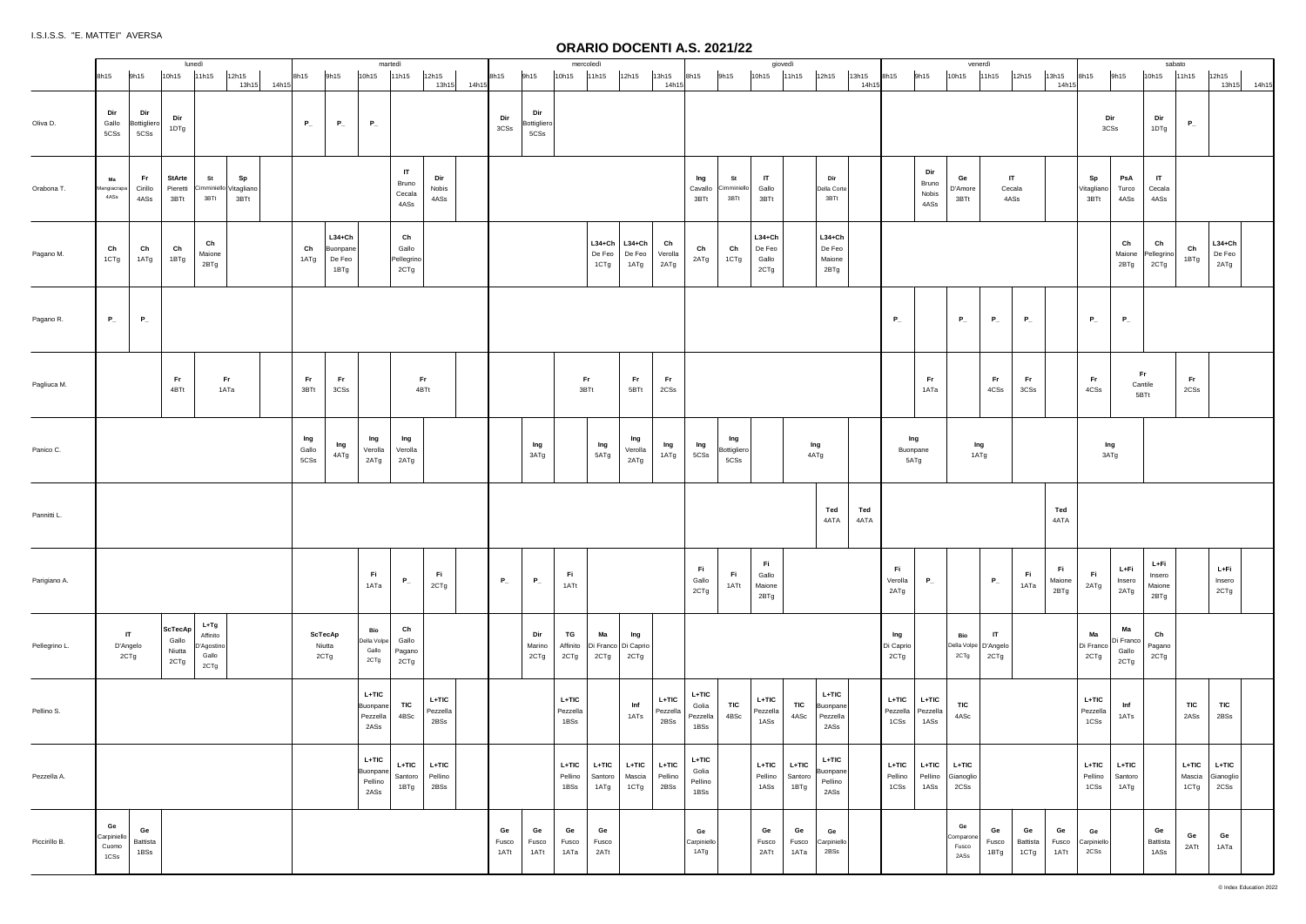|               | 8h15 |                                    | 9h15                               | 10h15                                           | lunedì<br>11h15                                   | 12h15                                | 13h15 14h15 | 8h15                 | 9h15                                   | martedì<br>10h15                       | 11h15                                   | 12h15<br>13h15 14h15       | 8h15                | 9h15                       | 10h15                     | mercoledì<br>11h15                             | 12h15                                      | 13h15<br>14h15              | 8h15                               | 9h15                       | 10h15 11h15                           | giovedì                    | 12h15                                  | 13h15<br>14h15 | 8h15                        | 9h15                          | 10h15                            | venerdì<br>11h15                   | 12h15                  | 13h15<br>14h1         | 8h15                        | 9h15                             | 10h15                            | sabato<br>11h15           | 12h15<br>13h15 14h15         |  |
|---------------|------|------------------------------------|------------------------------------|-------------------------------------------------|---------------------------------------------------|--------------------------------------|-------------|----------------------|----------------------------------------|----------------------------------------|-----------------------------------------|----------------------------|---------------------|----------------------------|---------------------------|------------------------------------------------|--------------------------------------------|-----------------------------|------------------------------------|----------------------------|---------------------------------------|----------------------------|----------------------------------------|----------------|-----------------------------|-------------------------------|----------------------------------|------------------------------------|------------------------|-----------------------|-----------------------------|----------------------------------|----------------------------------|---------------------------|------------------------------|--|
| Oliva D.      |      | Dir<br>Gallo<br>5CSs               | Dir<br>Bottigliero<br>$5{\rm CSs}$ | Dir<br>1DTg                                     |                                                   |                                      |             | $P_{-}$              | $P_{-}$                                | $P_{-}$                                |                                         |                            | Dir<br>3CSs         | Dir<br>Bottigliero<br>5CSs |                           |                                                |                                            |                             |                                    |                            |                                       |                            |                                        |                |                             |                               |                                  |                                    |                        |                       |                             | Dir<br>3CSs                      | Dir<br>1DTg                      | $P_{-}$                   |                              |  |
| Orabona T.    |      | Ma<br>Mangiacrapa<br>4ASs          | Fr.<br>Cirillo<br>4ASs             | StArte<br>Pieretti<br>3BTt                      | St<br>3BTt                                        | Sp<br>Cimminiello Vitagliano<br>3BTt |             |                      |                                        |                                        | $\mathsf{I}$<br>Bruno<br>Cecala<br>4ASs | Dir<br>Nobis<br>4ASs       |                     |                            |                           |                                                |                                            |                             | Ing<br>Cavallo<br>3BTt             | St<br>Cimminiell<br>3BTt   | IT<br>Gallo<br>3BTt                   |                            | Dir<br>Della Corte<br>3BTt             |                |                             | Dir<br>Bruno<br>Nobis<br>4ASs | Ge<br>D'Amore<br>3BTt            |                                    | IT .<br>Cecala<br>4ASs |                       | Sp<br>Vitagliano<br>3BTt    | PsA<br>Turco<br>4ASs             | IT<br>Cecala<br>4ASs             |                           |                              |  |
| Pagano M.     |      | Ch<br>1CTg                         | Ch<br>1ATg                         | Ch<br>1BTg                                      | Ch<br>Maione<br>2BTg                              |                                      |             | Ch<br>1ATg           | $L34+Ch$<br>Buonpane<br>De Feo<br>1BTg |                                        | Ch<br>Gallo<br>Pellegrino<br>2CTg       |                            |                     |                            |                           | De Feo<br>1CTg                                 | L34+Ch $\vert$ L34+Ch<br>$De\,Feo$<br>1ATg | Ch<br>Verolla<br>2ATg       | Ch<br>2ATg                         | Ch<br>1CTg                 | $L34 + Ch$<br>De Feo<br>Gallo<br>2CTg |                            | $L34+Ch$<br>De Feo<br>Maione<br>2BTg   |                |                             |                               |                                  |                                    |                        |                       |                             | Ch<br>Maione<br>2BTg             | Ch<br>Pellegrino<br>2CTg         | Ch<br>1BTg                | $L34 + Ch$<br>De Feo<br>2ATg |  |
| Pagano R.     |      | $P_{-}$                            | $P_{-}$                            |                                                 |                                                   |                                      |             |                      |                                        |                                        |                                         |                            |                     |                            |                           |                                                |                                            |                             |                                    |                            |                                       |                            |                                        |                | $P_{-}$                     |                               | $P_{-}$                          | $P_{-}$                            | $P_{-}$                |                       | $P_{-}$                     | $P_{-}$                          |                                  |                           |                              |  |
| Pagliuca M.   |      |                                    |                                    | <b>Fr</b><br>4BTt                               |                                                   | Fr.<br>1ATa                          |             | Fr.<br>3BTt          | Fr.<br>3CSs                            |                                        | <b>Fr</b>                               | 4BTt                       |                     |                            |                           | Fr.<br>3BTt                                    | Fr<br>5BTt                                 | Fr<br>2CSs                  |                                    |                            |                                       |                            |                                        |                |                             | Fr.<br>1ATa                   |                                  | Fr.<br>4CSs                        | Fr.<br>3CSs            |                       | Fr.<br>4CSs                 |                                  | Fr<br>Cantile<br>5BTt            | Fr.<br>2CSs               |                              |  |
| Panico C.     |      |                                    |                                    |                                                 |                                                   |                                      |             | Ing<br>Gallo<br>5CSs | Ing<br>4ATg                            | Ing<br>Verolla<br>2ATg                 | Ing<br>Verolla<br>2ATg                  |                            |                     | Ing<br>3ATg                |                           | Ing<br>5ATg                                    | Ing<br>Verolla<br>2ATg                     | Ing<br>1ATg                 | Ing<br>5CSs                        | Ing<br>Bottigliero<br>5CSs |                                       |                            | Ing<br>4ATg                            |                |                             | Ing<br>Buonpane<br>5ATg       |                                  | Ing<br>1ATg                        |                        |                       |                             | Ing<br>3ATg                      |                                  |                           |                              |  |
| Pannitti L.   |      |                                    |                                    |                                                 |                                                   |                                      |             |                      |                                        |                                        |                                         |                            |                     |                            |                           |                                                |                                            |                             |                                    |                            |                                       |                            | Ted<br>4ATA                            | Ted<br>4ATA    |                             |                               |                                  |                                    |                        | Ted<br>4ATA           |                             |                                  |                                  |                           |                              |  |
| Parigiano A.  |      |                                    |                                    |                                                 |                                                   |                                      |             |                      |                                        | Fi<br>1ATa                             | $P_{-}$                                 | Fi.<br>2CTg                | $P_{-}$             | $P_{-}$                    | Fi.<br>1ATt               |                                                |                                            |                             | Fi.<br>Gallo<br>2CTg               | Fi<br>1ATt                 | Fi.<br>Gallo<br>Maione<br>2BTg        |                            |                                        |                | Fi.<br>Verolla<br>2ATg      | $P_{-}$                       |                                  | $P_{-}$                            | Fi.<br>1ATa            | Fi.<br>Maione<br>2BTg | Fi.<br>2ATg                 | L+Fi<br>Insero<br>2ATg           | L+Fi<br>Insero<br>Maione<br>2BTg |                           | L+Fi<br>Insero<br>2CTg       |  |
| Pellegrino L. |      |                                    | IT<br>D'Angelo<br>2CTg             | $ \texttt{ScTecap} $<br>Gallo<br>Niutta<br>2CTg | $L+Tg$<br>Affinito<br>D'Agostino<br>Gallo<br>2CTg |                                      |             |                      | <b>ScTecAp</b><br>Niutta<br>2CTg       | Bio<br>Della Volpe<br>Gallo<br>2CTg    | Ch<br>Gallo<br>Pagano<br>2CTg           |                            |                     | Dir<br>Marino<br>2CTg      | TG<br>2CTg                | Ma<br>Affinito   Di Franco   Di Caprio<br>2CTg | Ing<br>2CTg                                |                             |                                    |                            |                                       |                            |                                        |                | Ing<br>Di Caprio<br>2CTg    |                               | Bio<br>2CTg                      | IT<br>Della Volpe D'Angelo<br>2CTg |                        |                       | Ma<br>Di Franco<br>2CTg     | Ma<br>Di Franco<br>Gallo<br>2CTg | Ch<br>Pagano<br>2CTg             |                           |                              |  |
| Pellino S.    |      |                                    |                                    |                                                 |                                                   |                                      |             |                      |                                        | L+TIC<br>Buonpane<br>Pezzella<br>2ASs  | TIC<br>4BSc                             | L+TIC<br>Pezzella<br>2BSs  |                     |                            | L+TIC<br>Pezzella<br>1BSs |                                                | Inf<br>1ATs                                | $L+TIC$<br>Pezzella<br>2BSs | L+TIC<br>Golia<br>Pezzella<br>1BSs | TIC<br>4BSc                | L+TIC<br>Pezzella<br>1ASs             | TIC<br>4ASc                | L+TIC<br>Buonpane<br>Pezzella<br>2ASs  |                | $L+TIC$<br>Pezzella<br>1CSs | L+TIC<br>Pezzella<br>1ASs     | TIC<br>4ASc                      |                                    |                        |                       | $L+TIC$<br>Pezzella<br>1CSs | Inf<br>1ATs                      |                                  | TIC<br>2ASs               | TIC<br>2BSs                  |  |
| Pezzella A.   |      |                                    |                                    |                                                 |                                                   |                                      |             |                      |                                        | L+TIC<br>Buonpane<br>Pellino<br>$2ASs$ | L+TIC<br>Santoro<br>1BTg                | $L+TIC$<br>Pellino<br>2BSs |                     |                            | L+TIC<br>Pellino<br>1BSs  | L+TIC<br>Santoro<br>1ATg                       | L+TIC<br>Mascia<br>1CTg                    | L+TIC<br>Pellino<br>2BSs    | L+TIC<br>Golia<br>Pellino<br>1BSs  |                            | $L+TIC$<br>Pellino<br>1ASs            | $L+TIC$<br>Santoro<br>1BTg | $L+TIC$<br>Buonpane<br>Pellino<br>2ASs |                | $L+TIC$<br>Pellino<br>1CSs  | L+TIC<br>Pellino<br>1ASs      | L+TIC<br>Gianoglio<br>2CSs       |                                    |                        |                       | $L+TIC$<br>Pellino<br>1CSs  | $L+TIC$<br>Santoro<br>1ATg       |                                  | $L+TIC$<br>Mascia<br>1CTg | $L+TIC$<br>Gianoglio<br>2CSs |  |
| Piccirillo B. |      | Ge<br>Carpiniello<br>Cuomo<br>1CSs | Ge<br>Battista<br>1BSS             |                                                 |                                                   |                                      |             |                      |                                        |                                        |                                         |                            | Ge<br>Fusco<br>1ATt | Ge<br>Fusco<br>1ATt        | Ge<br>Fusco<br>1ATa       | Ge<br>Fusco<br>2ATt                            |                                            |                             | Ge<br>Carpiniello<br>1ATg          |                            | Ge<br>Fusco<br>2ATt                   | Ge<br>Fusco<br>1ATa        | Ge<br>Carpiniello<br>2BSs              |                |                             |                               | Ge<br>Comparone<br>Fusco<br>2ASs | Ge<br>Fusco<br>1BTg                | Ge<br>Battista<br>1CTg | Ge<br>Fusco<br>1ATt   | Ge<br>Carpiniello<br>2CSs   |                                  | Ge<br>Battista<br>1ASs           | Ge<br>2ATt                | Ge<br>1ATa                   |  |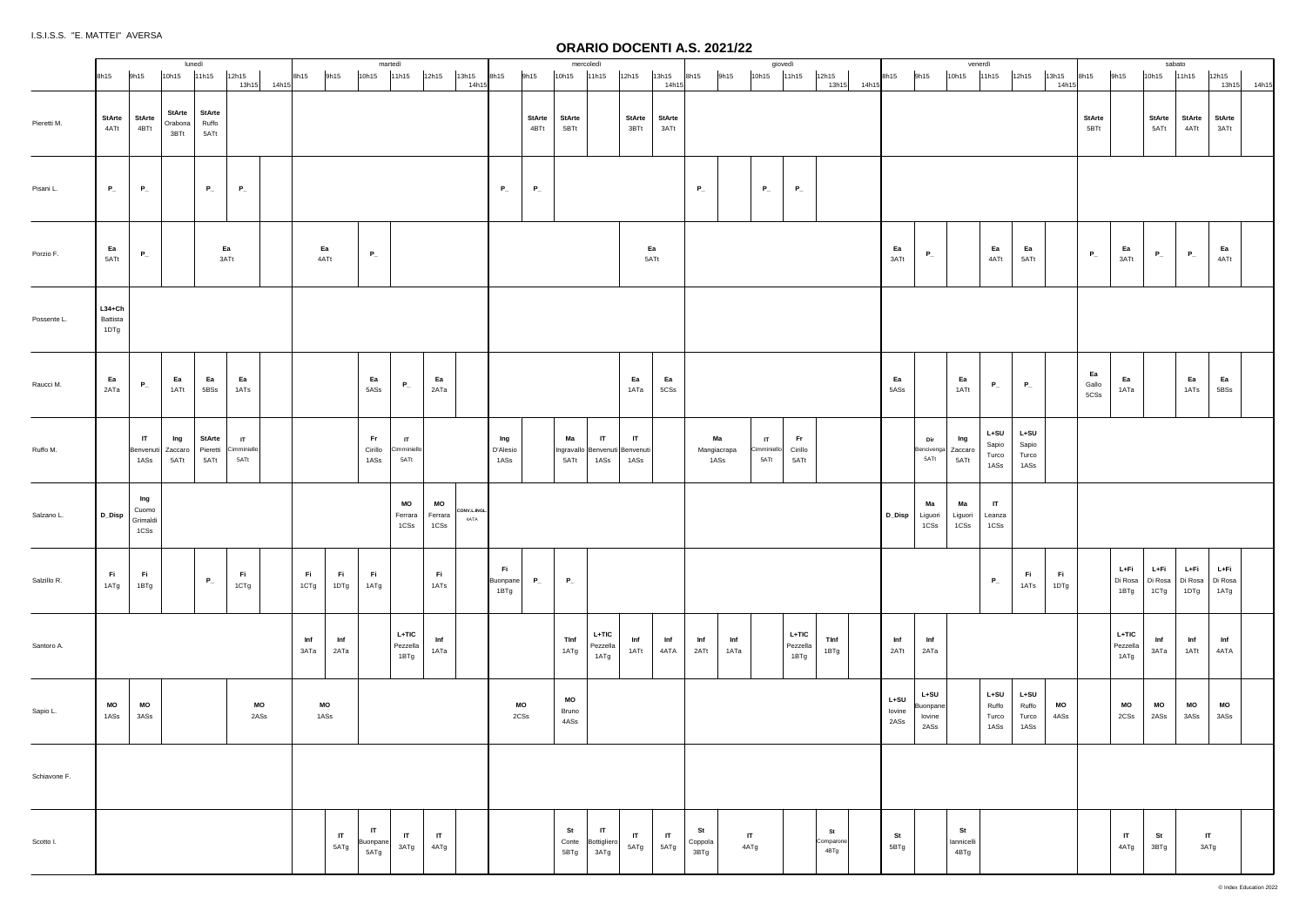|              |                              |                                  |                     | lunedì                           |                                |                                     |             |             |                                          |                          | martedì                                      |                       |                     |                         |                       |                     | mercoledì                                        |                                    |                      |                           |                      | giovedì                             |                              |                         |                          |      |                                           | venerdì                  |                                  |                                  |               |                       |                             | sabato                          |                                |                         |       |
|--------------|------------------------------|----------------------------------|---------------------|----------------------------------|--------------------------------|-------------------------------------|-------------|-------------|------------------------------------------|--------------------------|----------------------------------------------|-----------------------|---------------------|-------------------------|-----------------------|---------------------|--------------------------------------------------|------------------------------------|----------------------|---------------------------|----------------------|-------------------------------------|------------------------------|-------------------------|--------------------------|------|-------------------------------------------|--------------------------|----------------------------------|----------------------------------|---------------|-----------------------|-----------------------------|---------------------------------|--------------------------------|-------------------------|-------|
|              | 8h15                         | 9h15                             |                     | 10h15                            | 11h15                          | 12h15                               | 13h15 14h15 | 8h15        | 9h15                                     | 10h15                    | 11h15                                        | 12h15                 | 13h15<br>14h15      | 8h15                    | 9h15                  | 10h15               | 11h15                                            | 12h15                              | 13h15<br>14h15       | 8h15                      | 9h15                 | 10h15 11h15                         |                              | 12h15<br>13h15 14h15    | 8h15                     | 9h15 |                                           | 10h15                    | 11h15                            | 12h15                            | 13h15<br>14h1 | 8h15                  | 9h15                        | 10h15                           | 11h15                          | 12h15<br>13h15          | 14h15 |
| Pieretti M.  | <b>StArte</b><br>4ATt        | <b>StArte</b><br>4BTt            |                     | <b>StArte</b><br>Orabona<br>3BTt | <b>StArte</b><br>Ruffo<br>5ATt |                                     |             |             |                                          |                          |                                              |                       |                     |                         | <b>StArte</b><br>4BTt | StArte<br>5BTt      |                                                  | StArte<br>3BTt                     | StArte<br>3ATt       |                           |                      |                                     |                              |                         |                          |      |                                           |                          |                                  |                                  |               | <b>StArte</b><br>5BTt |                             | StArte<br>5ATt                  | StArte<br>4ATt                 | <b>StArte</b><br>3ATt   |       |
| Pisani L.    | $P_{-}$                      | $P_{-}$                          |                     |                                  | $P_{-}$                        | $P_{-}$                             |             |             |                                          |                          |                                              |                       |                     | $P_{-}$                 | $P_{-}$               |                     |                                                  |                                    |                      | $P_{-}$                   |                      | $P_{-}$                             | $\mathsf{P}_-$               |                         |                          |      |                                           |                          |                                  |                                  |               |                       |                             |                                 |                                |                         |       |
| Porzio F.    | Ea<br>5ATt                   | $P_{-}$                          |                     |                                  |                                | Ea<br>3ATt                          |             |             | Ea<br>4ATt                               | $\mathsf{P}_-$           |                                              |                       |                     |                         |                       |                     |                                                  | Ea<br>5ATt                         |                      |                           |                      |                                     |                              |                         | Ea<br>3ATt               |      | $P_{-}$                                   |                          | Ea<br>4ATt                       | Ea<br>5ATt                       |               | $P_{-}$               | Ea<br>3ATt                  | $P_{-}$                         | $P_{-}$                        | Ea<br>4ATt              |       |
| Possente L.  | $L34+Ch$<br>Battista<br>1DTg |                                  |                     |                                  |                                |                                     |             |             |                                          |                          |                                              |                       |                     |                         |                       |                     |                                                  |                                    |                      |                           |                      |                                     |                              |                         |                          |      |                                           |                          |                                  |                                  |               |                       |                             |                                 |                                |                         |       |
| Raucci M.    | Ea<br>2ATa                   | $P_{-}$                          |                     | Ea<br>1ATt                       | Ea<br>5BSs                     | Ea<br>1ATs                          |             |             |                                          | Ea<br>5ASs               | $P_{-}$                                      | Ea<br>2ATa            |                     |                         |                       |                     |                                                  | Ea<br>1ATa                         | Ea<br>5CSs           |                           |                      |                                     |                              |                         | Ea<br>5ASs               |      |                                           | Ea<br>1ATt               | $P_{-}$                          | $P_{-}$                          |               | Ea<br>Gallo<br>5CSs   | Ea<br>1ATa                  |                                 | Ea<br>1ATs                     | Ea<br>5BSs              |       |
| Ruffo M.     |                              | $\mathsf{I}$<br>1ASs             | Benvenuti   Zaccaro | Ing<br>5ATt                      | StArte<br>Pieretti<br>5ATt     | $\mathsf{I}$<br>Cimminiello<br>5ATt |             |             |                                          | Fr.<br>Cirillo<br>1ASs   | $\mathsf{I}\mathsf{T}$<br>Cimminiell<br>5ATt |                       |                     | Ing<br>D'Alesio<br>1ASs |                       | Ма<br>5ATt          | IT<br>Ingravallo   Benvenuti   Benvenuti<br>1ASs | IT<br>1ASs                         |                      | Ma<br>Mangiacrapa<br>1ASs |                      | $\mathbf{H}$<br>Cimminiello<br>5ATt | <b>Fr</b><br>Cirillo<br>5ATt |                         |                          |      | Dir<br>Bencivenga<br>5ATt                 | Ing<br>Zaccaro<br>5ATt   | L+SU<br>Sapio<br>Turco<br>1ASs   | $L+SU$<br>Sapio<br>Turco<br>1ASs |               |                       |                             |                                 |                                |                         |       |
| Salzano L.   | D_Disp                       | Ing<br>Cuomo<br>Grimaldi<br>1CSs |                     |                                  |                                |                                     |             |             |                                          |                          | MO<br>Ferrara<br>1CSs                        | MO<br>Ferrara<br>1CSs | CONV.L.INGL<br>4ATA |                         |                       |                     |                                                  |                                    |                      |                           |                      |                                     |                              |                         | D_Disp                   |      | Ma<br>Liguori<br>1CSs                     | Ma<br>Liguori<br>1CSs    | $\mathsf{I}$<br>Leanza<br>1CSs   |                                  |               |                       |                             |                                 |                                |                         |       |
| Salzillo R.  | Fi .<br>1ATg                 | Fi.<br>1BTg                      |                     |                                  | $P_{-}$                        | Fi.<br>1CTg                         |             | Fi<br>1CTg  | Fi .<br>1DTg                             | Fi .<br>1ATg             |                                              | Fi .<br>1ATs          |                     | Fi<br>Buonpane<br>1BTg  | $P_{-}$               | $P_{-}$             |                                                  |                                    |                      |                           |                      |                                     |                              |                         |                          |      |                                           |                          | $P_{-}$                          | Fi .<br>1ATs                     | Fi.<br>1DTg   |                       | L+Fi<br>Di Rosa<br>1BTg     | L+Fi<br>Di Rosa Di Rosa<br>1CTg | L+Fi<br>1DTg                   | L+Fi<br>Di Rosa<br>1ATg |       |
| Santoro A.   |                              |                                  |                     |                                  |                                |                                     |             | Inf<br>3ATa | $\mathop{\mathsf{Inf}}\nolimits$<br>2ATa |                          | $L+TIC$<br>Pezzella<br>1BTg                  | Inf<br>1ATa           |                     |                         |                       | TInf<br>1ATg        | L+TIC<br>Pezzella<br>1ATg                        | Inf<br>1ATt                        | Inf<br>4ATA          | Inf<br>2ATt               | Inf<br>1ATa          |                                     | $L+TIC$<br>Pezzella<br>1BTg  | TInf<br>1BTg            | Inf<br>2ATt              |      | Inf<br>2ATa                               |                          |                                  |                                  |               |                       | $L+TIC$<br>Pezzella<br>1ATg | Inf<br>3ATa                     | Inf<br>1ATt                    | Inf<br>4ATA             |       |
| Sapio L.     | <b>MO</b><br>1ASs            | $\mathsf{MO}$<br>3ASs            |                     |                                  |                                |                                     | MO<br>2ASs  | 1ASs        | MO                                       |                          |                                              |                       |                     | MO<br>2CSs              |                       | MO<br>Bruno<br>4ASs |                                                  |                                    |                      |                           |                      |                                     |                              |                         | $L+SU$<br>lovine<br>2ASs |      | L+SU<br><b>Buonpane</b><br>lovine<br>2ASs |                          | $L+SU$<br>Ruffo<br>Turco<br>1ASs | $L+SU$<br>Ruffo<br>Turco<br>1ASs | MO<br>4ASs    |                       | <b>MO</b><br>2CSs           | <b>MO</b><br>2ASs               | <b>MO</b><br>3ASs              | <b>MO</b><br>3ASs       |       |
| Schiavone F. |                              |                                  |                     |                                  |                                |                                     |             |             |                                          |                          |                                              |                       |                     |                         |                       |                     |                                                  |                                    |                      |                           |                      |                                     |                              |                         |                          |      |                                           |                          |                                  |                                  |               |                       |                             |                                 |                                |                         |       |
| Scotto I.    |                              |                                  |                     |                                  |                                |                                     |             |             | IT<br>5ATg                               | $\mathsf{I}$<br>Buonpane | $\ensuremath{\mathsf{IT}}$<br>3ATg           | $\mathsf{I}$<br>4ATg  |                     |                         |                       | St<br>5BTg          | $\mathsf{I}$<br>Conte Bottigliero<br>3ATg        | $\ensuremath{\mathsf{IT}}$<br>5ATg | $\mathsf{I}$<br>5ATg | St<br>Coppola<br>3BTg     | $\mathsf{I}$<br>4ATg |                                     |                              | St<br>Comparone<br>4BTg | St<br>5BTg               |      |                                           | St<br>lannicelli<br>4BTg |                                  |                                  |               |                       | $\mathsf{I}$<br>4ATg        | St<br>3BTg                      | $\mathsf{I}\mathsf{T}$<br>3ATg |                         |       |